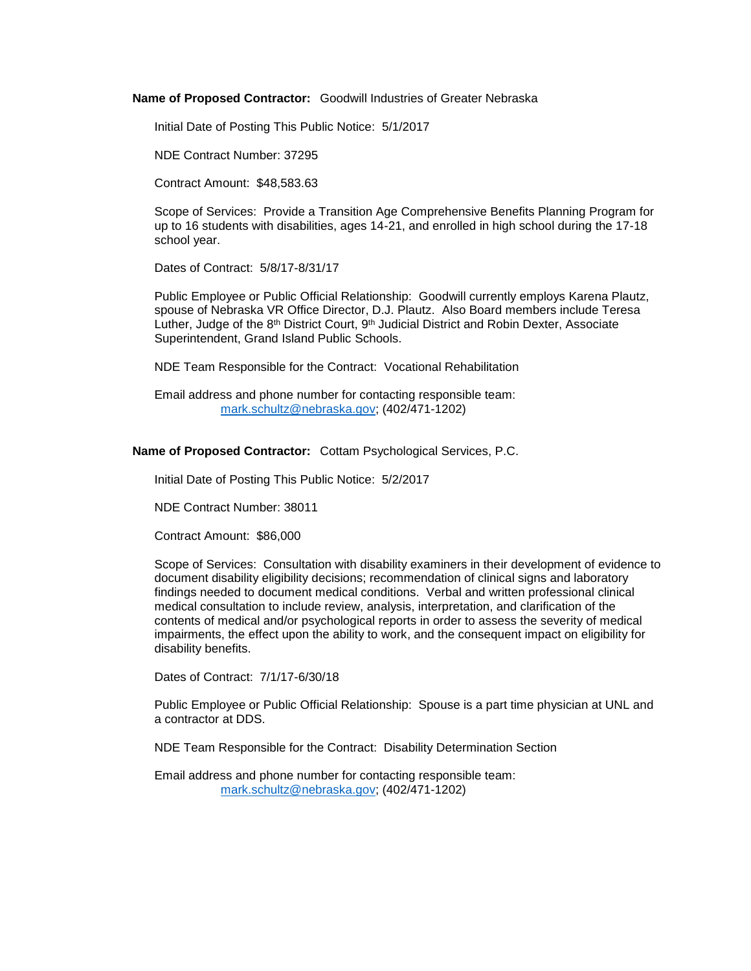**Name of Proposed Contractor:** Goodwill Industries of Greater Nebraska

Initial Date of Posting This Public Notice: 5/1/2017

NDE Contract Number: 37295

Contract Amount: \$48,583.63

Scope of Services: Provide a Transition Age Comprehensive Benefits Planning Program for up to 16 students with disabilities, ages 14-21, and enrolled in high school during the 17-18 school year.

Dates of Contract: 5/8/17-8/31/17

Public Employee or Public Official Relationship: Goodwill currently employs Karena Plautz, spouse of Nebraska VR Office Director, D.J. Plautz. Also Board members include Teresa Luther, Judge of the  $8<sup>th</sup>$  District Court,  $9<sup>th</sup>$  Judicial District and Robin Dexter, Associate Superintendent, Grand Island Public Schools.

NDE Team Responsible for the Contract: Vocational Rehabilitation

Email address and phone number for contacting responsible team: [mark.schultz@nebraska.gov;](mailto:mark.schultz@nebraska.gov) (402/471-1202)

**Name of Proposed Contractor:** Cottam Psychological Services, P.C.

Initial Date of Posting This Public Notice: 5/2/2017

NDE Contract Number: 38011

Contract Amount: \$86,000

Scope of Services: Consultation with disability examiners in their development of evidence to document disability eligibility decisions; recommendation of clinical signs and laboratory findings needed to document medical conditions. Verbal and written professional clinical medical consultation to include review, analysis, interpretation, and clarification of the contents of medical and/or psychological reports in order to assess the severity of medical impairments, the effect upon the ability to work, and the consequent impact on eligibility for disability benefits.

Dates of Contract: 7/1/17-6/30/18

Public Employee or Public Official Relationship: Spouse is a part time physician at UNL and a contractor at DDS.

NDE Team Responsible for the Contract: Disability Determination Section

Email address and phone number for contacting responsible team: [mark.schultz@nebraska.gov;](mailto:mark.schultz@nebraska.gov) (402/471-1202)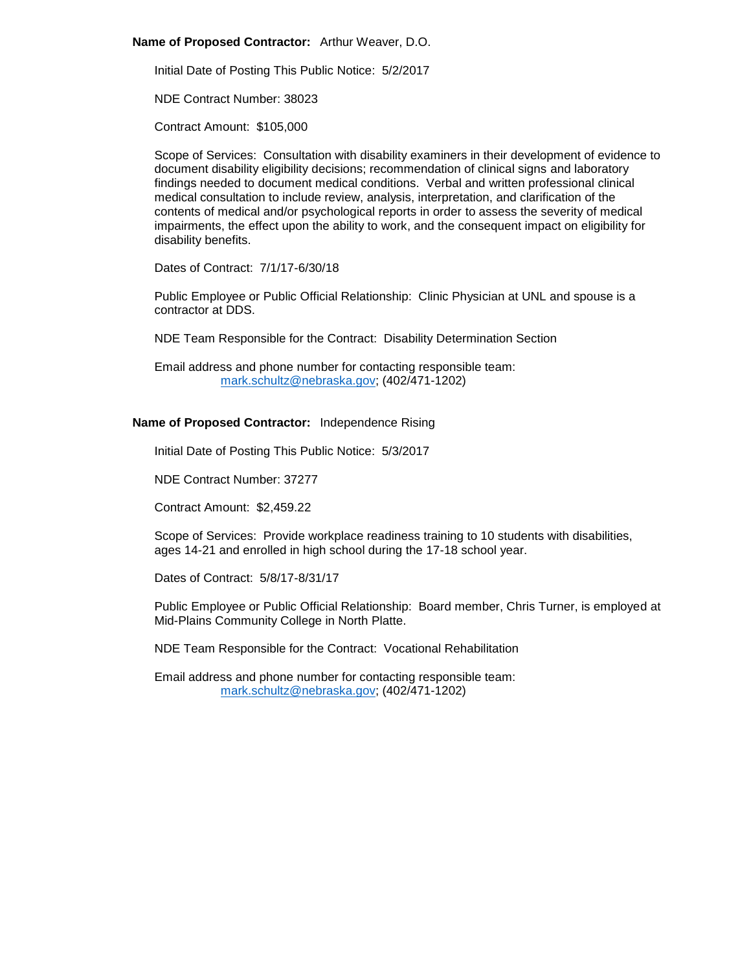## **Name of Proposed Contractor:** Arthur Weaver, D.O.

Initial Date of Posting This Public Notice: 5/2/2017

NDE Contract Number: 38023

Contract Amount: \$105,000

Scope of Services: Consultation with disability examiners in their development of evidence to document disability eligibility decisions; recommendation of clinical signs and laboratory findings needed to document medical conditions. Verbal and written professional clinical medical consultation to include review, analysis, interpretation, and clarification of the contents of medical and/or psychological reports in order to assess the severity of medical impairments, the effect upon the ability to work, and the consequent impact on eligibility for disability benefits.

Dates of Contract: 7/1/17-6/30/18

Public Employee or Public Official Relationship: Clinic Physician at UNL and spouse is a contractor at DDS.

NDE Team Responsible for the Contract: Disability Determination Section

Email address and phone number for contacting responsible team: [mark.schultz@nebraska.gov;](mailto:mark.schultz@nebraska.gov) (402/471-1202)

# **Name of Proposed Contractor:** Independence Rising

Initial Date of Posting This Public Notice: 5/3/2017

NDE Contract Number: 37277

Contract Amount: \$2,459.22

Scope of Services: Provide workplace readiness training to 10 students with disabilities, ages 14-21 and enrolled in high school during the 17-18 school year.

Dates of Contract: 5/8/17-8/31/17

Public Employee or Public Official Relationship: Board member, Chris Turner, is employed at Mid-Plains Community College in North Platte.

NDE Team Responsible for the Contract: Vocational Rehabilitation

Email address and phone number for contacting responsible team: [mark.schultz@nebraska.gov;](mailto:mark.schultz@nebraska.gov) (402/471-1202)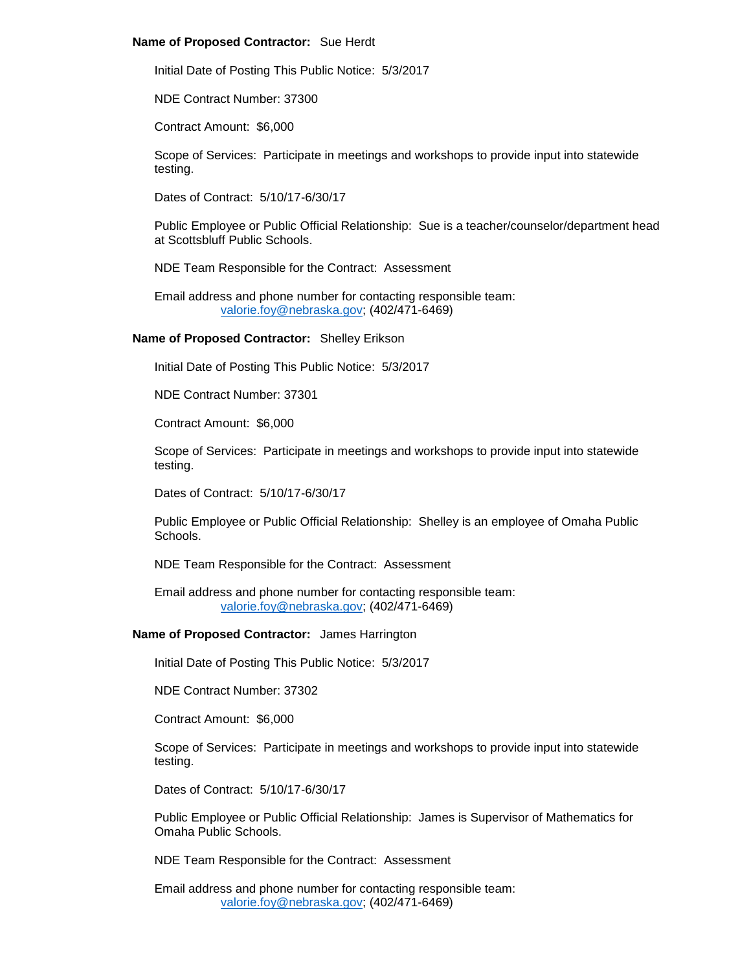#### **Name of Proposed Contractor:** Sue Herdt

Initial Date of Posting This Public Notice: 5/3/2017

NDE Contract Number: 37300

Contract Amount: \$6,000

Scope of Services: Participate in meetings and workshops to provide input into statewide testing.

Dates of Contract: 5/10/17-6/30/17

Public Employee or Public Official Relationship: Sue is a teacher/counselor/department head at Scottsbluff Public Schools.

NDE Team Responsible for the Contract: Assessment

Email address and phone number for contacting responsible team: [valorie.foy@nebraska.gov;](mailto:valorie.foy@nebraska.gov) (402/471-6469)

#### **Name of Proposed Contractor:** Shelley Erikson

Initial Date of Posting This Public Notice: 5/3/2017

NDE Contract Number: 37301

Contract Amount: \$6,000

Scope of Services: Participate in meetings and workshops to provide input into statewide testing.

Dates of Contract: 5/10/17-6/30/17

Public Employee or Public Official Relationship: Shelley is an employee of Omaha Public Schools.

NDE Team Responsible for the Contract: Assessment

Email address and phone number for contacting responsible team: [valorie.foy@nebraska.gov;](mailto:valorie.foy@nebraska.gov) (402/471-6469)

## **Name of Proposed Contractor:** James Harrington

Initial Date of Posting This Public Notice: 5/3/2017

NDE Contract Number: 37302

Contract Amount: \$6,000

Scope of Services: Participate in meetings and workshops to provide input into statewide testing.

Dates of Contract: 5/10/17-6/30/17

Public Employee or Public Official Relationship: James is Supervisor of Mathematics for Omaha Public Schools.

NDE Team Responsible for the Contract: Assessment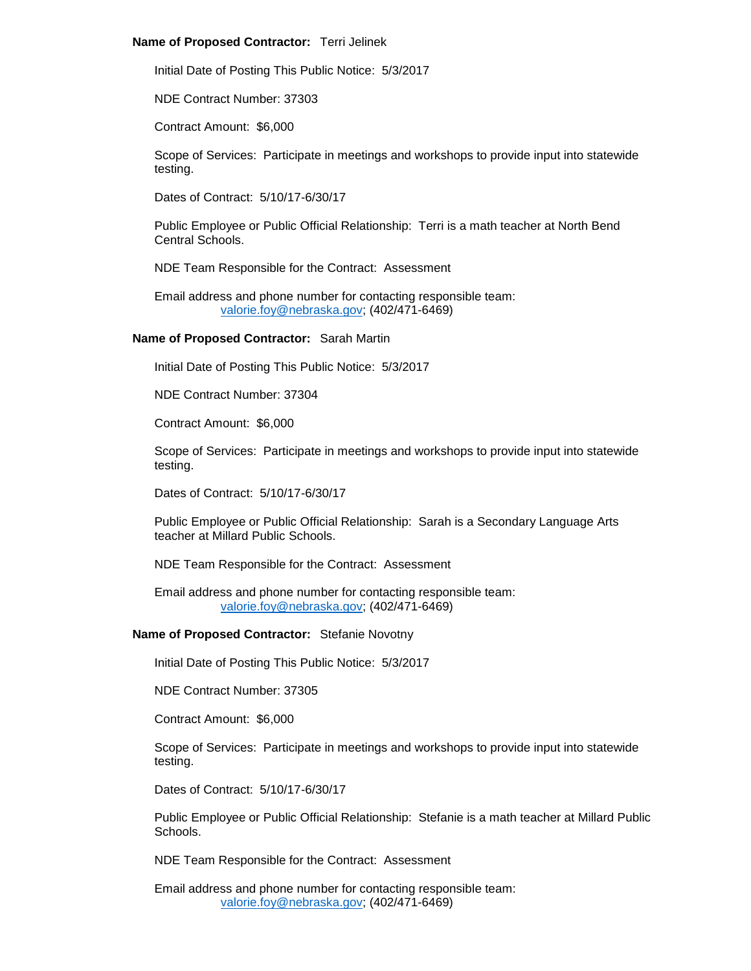## **Name of Proposed Contractor:** Terri Jelinek

Initial Date of Posting This Public Notice: 5/3/2017

NDE Contract Number: 37303

Contract Amount: \$6,000

Scope of Services: Participate in meetings and workshops to provide input into statewide testing.

Dates of Contract: 5/10/17-6/30/17

Public Employee or Public Official Relationship: Terri is a math teacher at North Bend Central Schools.

NDE Team Responsible for the Contract: Assessment

Email address and phone number for contacting responsible team: [valorie.foy@nebraska.gov;](mailto:valorie.foy@nebraska.gov) (402/471-6469)

# **Name of Proposed Contractor:** Sarah Martin

Initial Date of Posting This Public Notice: 5/3/2017

NDE Contract Number: 37304

Contract Amount: \$6,000

Scope of Services: Participate in meetings and workshops to provide input into statewide testing.

Dates of Contract: 5/10/17-6/30/17

Public Employee or Public Official Relationship: Sarah is a Secondary Language Arts teacher at Millard Public Schools.

NDE Team Responsible for the Contract: Assessment

Email address and phone number for contacting responsible team: [valorie.foy@nebraska.gov;](mailto:valorie.foy@nebraska.gov) (402/471-6469)

#### **Name of Proposed Contractor:** Stefanie Novotny

Initial Date of Posting This Public Notice: 5/3/2017

NDE Contract Number: 37305

Contract Amount: \$6,000

Scope of Services: Participate in meetings and workshops to provide input into statewide testing.

Dates of Contract: 5/10/17-6/30/17

Public Employee or Public Official Relationship: Stefanie is a math teacher at Millard Public Schools.

NDE Team Responsible for the Contract: Assessment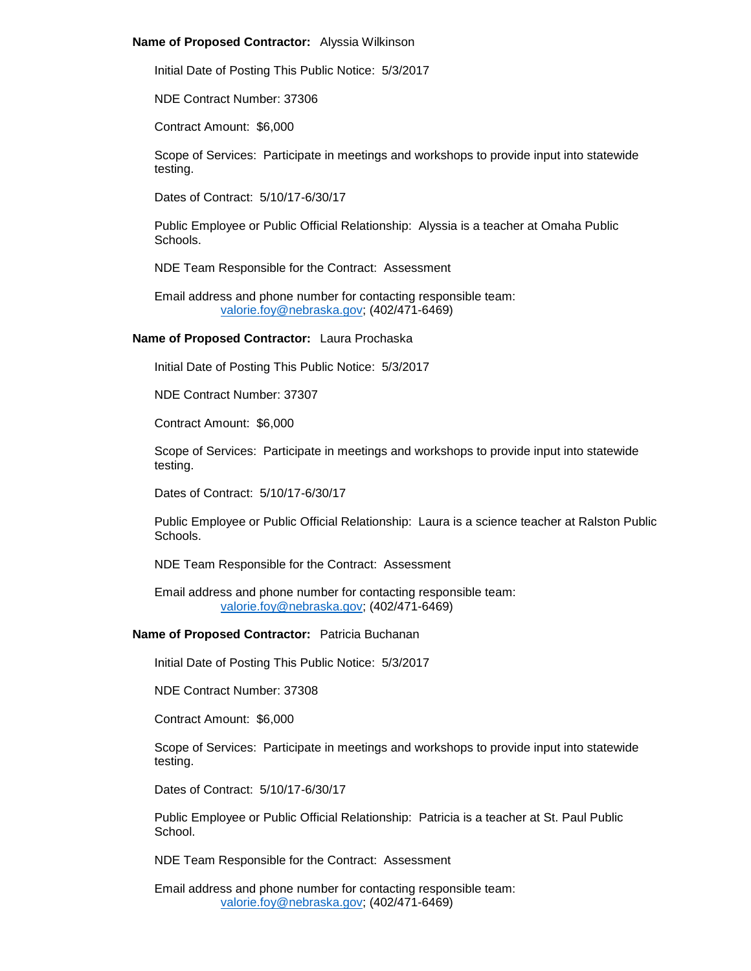#### **Name of Proposed Contractor:** Alyssia Wilkinson

Initial Date of Posting This Public Notice: 5/3/2017

NDE Contract Number: 37306

Contract Amount: \$6,000

Scope of Services: Participate in meetings and workshops to provide input into statewide testing.

Dates of Contract: 5/10/17-6/30/17

Public Employee or Public Official Relationship: Alyssia is a teacher at Omaha Public Schools.

NDE Team Responsible for the Contract: Assessment

Email address and phone number for contacting responsible team: [valorie.foy@nebraska.gov;](mailto:valorie.foy@nebraska.gov) (402/471-6469)

**Name of Proposed Contractor:** Laura Prochaska

Initial Date of Posting This Public Notice: 5/3/2017

NDE Contract Number: 37307

Contract Amount: \$6,000

Scope of Services: Participate in meetings and workshops to provide input into statewide testing.

Dates of Contract: 5/10/17-6/30/17

Public Employee or Public Official Relationship: Laura is a science teacher at Ralston Public Schools.

NDE Team Responsible for the Contract: Assessment

Email address and phone number for contacting responsible team: [valorie.foy@nebraska.gov;](mailto:valorie.foy@nebraska.gov) (402/471-6469)

## **Name of Proposed Contractor:** Patricia Buchanan

Initial Date of Posting This Public Notice: 5/3/2017

NDE Contract Number: 37308

Contract Amount: \$6,000

Scope of Services: Participate in meetings and workshops to provide input into statewide testing.

Dates of Contract: 5/10/17-6/30/17

Public Employee or Public Official Relationship: Patricia is a teacher at St. Paul Public School.

NDE Team Responsible for the Contract: Assessment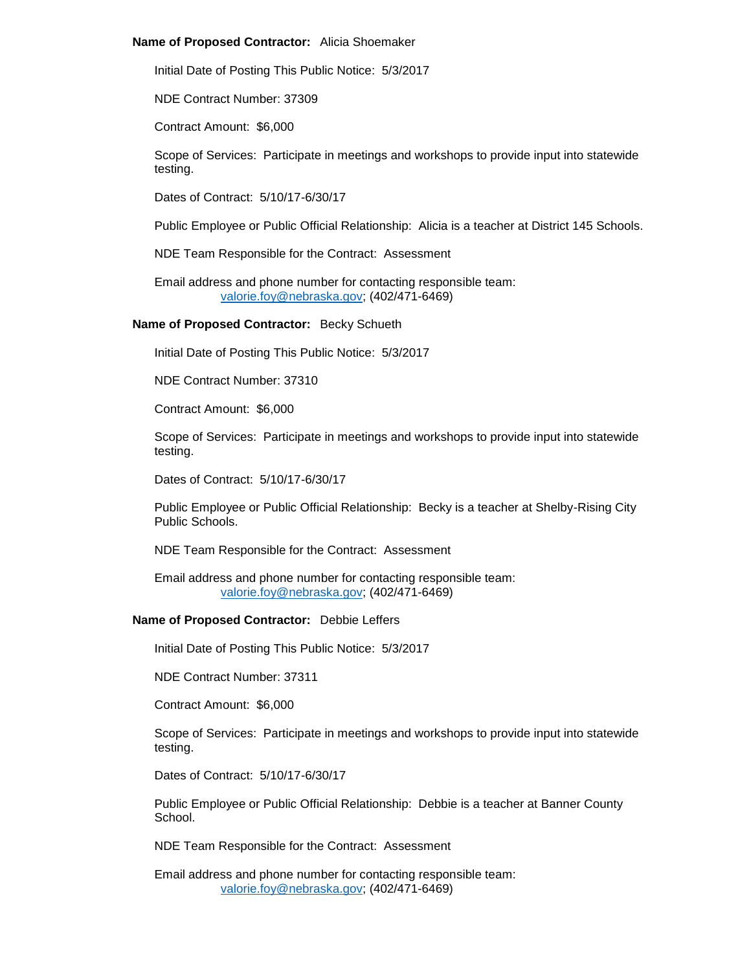#### **Name of Proposed Contractor:** Alicia Shoemaker

Initial Date of Posting This Public Notice: 5/3/2017

NDE Contract Number: 37309

Contract Amount: \$6,000

Scope of Services: Participate in meetings and workshops to provide input into statewide testing.

Dates of Contract: 5/10/17-6/30/17

Public Employee or Public Official Relationship: Alicia is a teacher at District 145 Schools.

NDE Team Responsible for the Contract: Assessment

Email address and phone number for contacting responsible team: [valorie.foy@nebraska.gov;](mailto:valorie.foy@nebraska.gov) (402/471-6469)

**Name of Proposed Contractor:** Becky Schueth

Initial Date of Posting This Public Notice: 5/3/2017

NDE Contract Number: 37310

Contract Amount: \$6,000

Scope of Services: Participate in meetings and workshops to provide input into statewide testing.

Dates of Contract: 5/10/17-6/30/17

Public Employee or Public Official Relationship: Becky is a teacher at Shelby-Rising City Public Schools.

NDE Team Responsible for the Contract: Assessment

Email address and phone number for contacting responsible team: [valorie.foy@nebraska.gov;](mailto:valorie.foy@nebraska.gov) (402/471-6469)

# **Name of Proposed Contractor:** Debbie Leffers

Initial Date of Posting This Public Notice: 5/3/2017

NDE Contract Number: 37311

Contract Amount: \$6,000

Scope of Services: Participate in meetings and workshops to provide input into statewide testing.

Dates of Contract: 5/10/17-6/30/17

Public Employee or Public Official Relationship: Debbie is a teacher at Banner County School.

NDE Team Responsible for the Contract: Assessment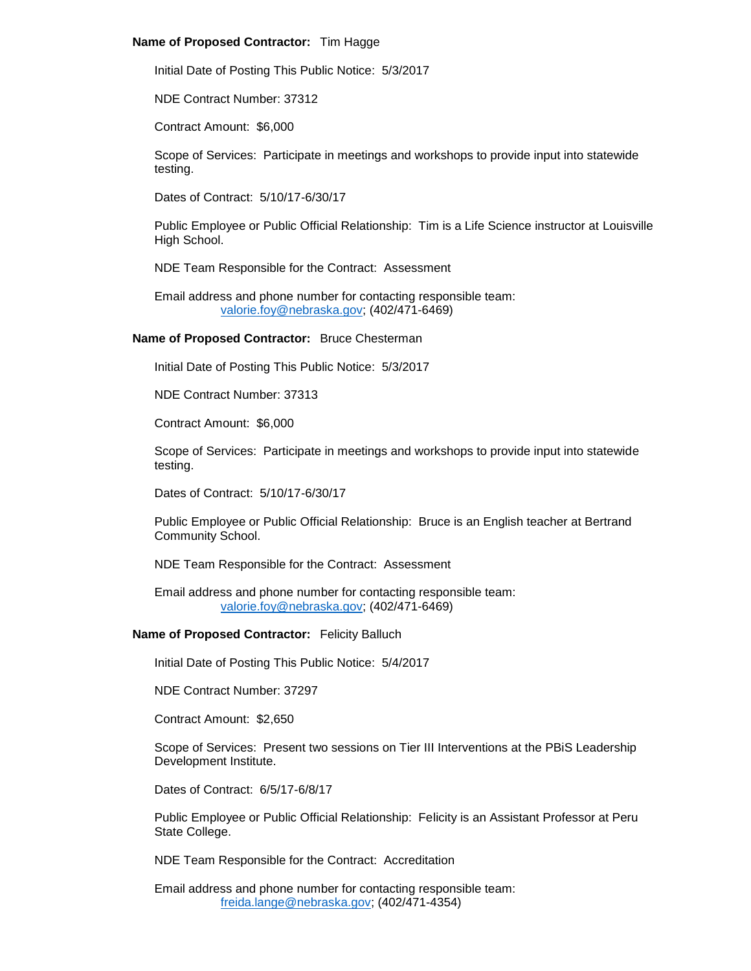# **Name of Proposed Contractor:** Tim Hagge

Initial Date of Posting This Public Notice: 5/3/2017

NDE Contract Number: 37312

Contract Amount: \$6,000

Scope of Services: Participate in meetings and workshops to provide input into statewide testing.

Dates of Contract: 5/10/17-6/30/17

Public Employee or Public Official Relationship: Tim is a Life Science instructor at Louisville High School.

NDE Team Responsible for the Contract: Assessment

Email address and phone number for contacting responsible team: [valorie.foy@nebraska.gov;](mailto:valorie.foy@nebraska.gov) (402/471-6469)

# **Name of Proposed Contractor:** Bruce Chesterman

Initial Date of Posting This Public Notice: 5/3/2017

NDE Contract Number: 37313

Contract Amount: \$6,000

Scope of Services: Participate in meetings and workshops to provide input into statewide testing.

Dates of Contract: 5/10/17-6/30/17

Public Employee or Public Official Relationship: Bruce is an English teacher at Bertrand Community School.

NDE Team Responsible for the Contract: Assessment

Email address and phone number for contacting responsible team: [valorie.foy@nebraska.gov;](mailto:valorie.foy@nebraska.gov) (402/471-6469)

## **Name of Proposed Contractor:** Felicity Balluch

Initial Date of Posting This Public Notice: 5/4/2017

NDE Contract Number: 37297

Contract Amount: \$2,650

Scope of Services: Present two sessions on Tier III Interventions at the PBiS Leadership Development Institute.

Dates of Contract: 6/5/17-6/8/17

Public Employee or Public Official Relationship: Felicity is an Assistant Professor at Peru State College.

NDE Team Responsible for the Contract: Accreditation

Email address and phone number for contacting responsible team: [freida.lange@nebraska.gov;](mailto:freida.lange@nebraska.gov) (402/471-4354)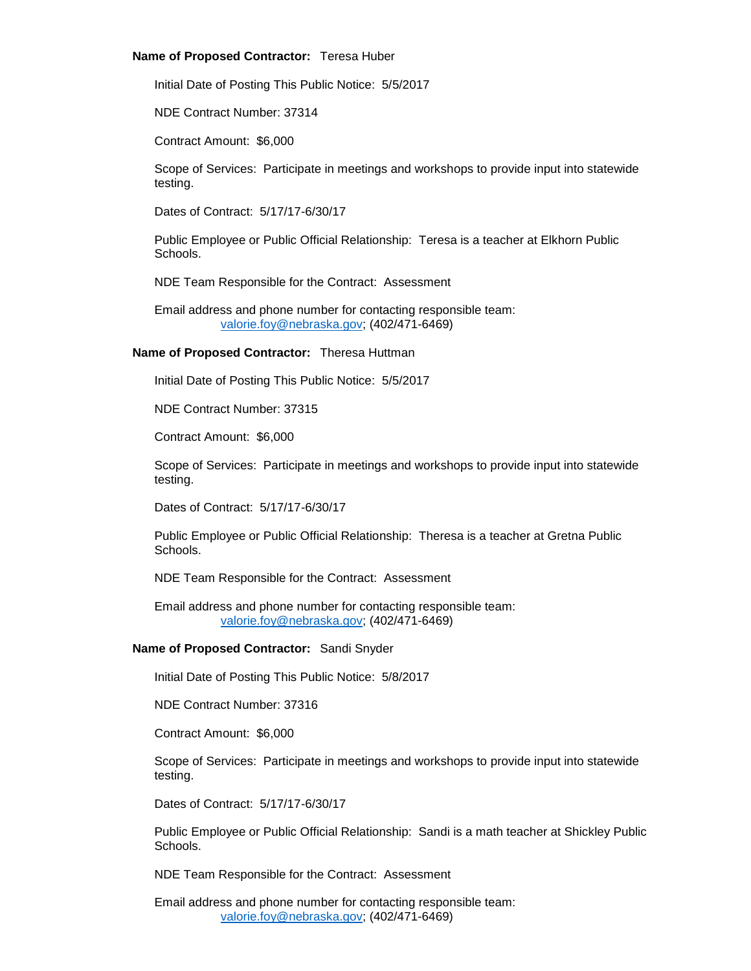# **Name of Proposed Contractor:** Teresa Huber

Initial Date of Posting This Public Notice: 5/5/2017

NDE Contract Number: 37314

Contract Amount: \$6,000

Scope of Services: Participate in meetings and workshops to provide input into statewide testing.

Dates of Contract: 5/17/17-6/30/17

Public Employee or Public Official Relationship: Teresa is a teacher at Elkhorn Public Schools.

NDE Team Responsible for the Contract: Assessment

Email address and phone number for contacting responsible team: [valorie.foy@nebraska.gov;](mailto:valorie.foy@nebraska.gov) (402/471-6469)

# **Name of Proposed Contractor:** Theresa Huttman

Initial Date of Posting This Public Notice: 5/5/2017

NDE Contract Number: 37315

Contract Amount: \$6,000

Scope of Services: Participate in meetings and workshops to provide input into statewide testing.

Dates of Contract: 5/17/17-6/30/17

Public Employee or Public Official Relationship: Theresa is a teacher at Gretna Public Schools.

NDE Team Responsible for the Contract: Assessment

Email address and phone number for contacting responsible team: [valorie.foy@nebraska.gov;](mailto:valorie.foy@nebraska.gov) (402/471-6469)

# **Name of Proposed Contractor:** Sandi Snyder

Initial Date of Posting This Public Notice: 5/8/2017

NDE Contract Number: 37316

Contract Amount: \$6,000

Scope of Services: Participate in meetings and workshops to provide input into statewide testing.

Dates of Contract: 5/17/17-6/30/17

Public Employee or Public Official Relationship: Sandi is a math teacher at Shickley Public Schools.

NDE Team Responsible for the Contract: Assessment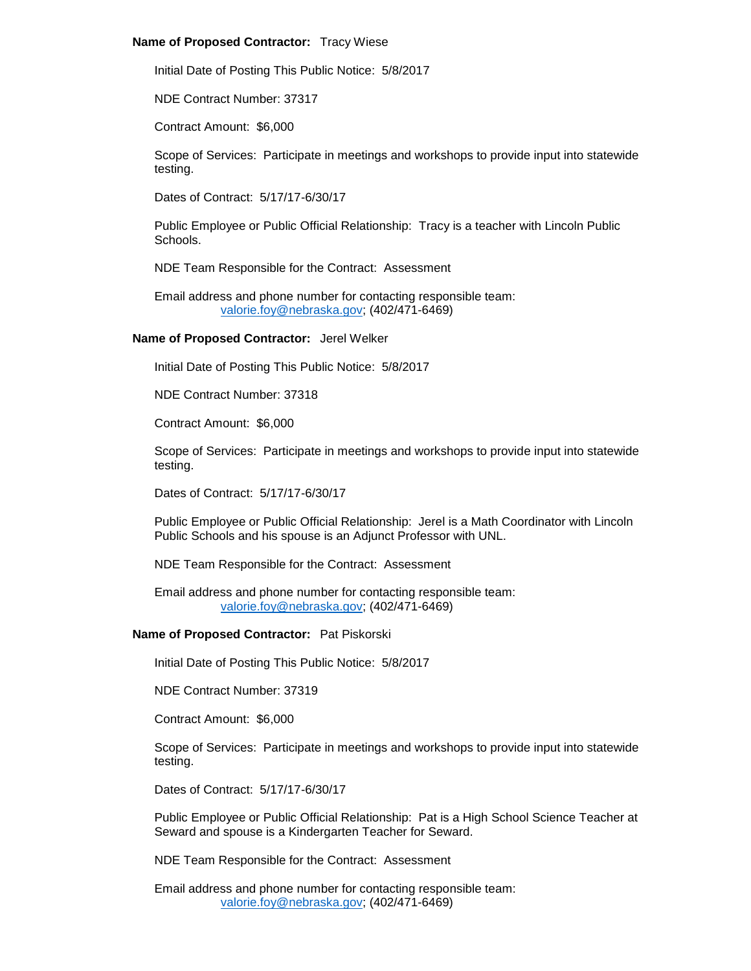## **Name of Proposed Contractor:** Tracy Wiese

Initial Date of Posting This Public Notice: 5/8/2017

NDE Contract Number: 37317

Contract Amount: \$6,000

Scope of Services: Participate in meetings and workshops to provide input into statewide testing.

Dates of Contract: 5/17/17-6/30/17

Public Employee or Public Official Relationship: Tracy is a teacher with Lincoln Public Schools.

NDE Team Responsible for the Contract: Assessment

Email address and phone number for contacting responsible team: [valorie.foy@nebraska.gov;](mailto:valorie.foy@nebraska.gov) (402/471-6469)

#### **Name of Proposed Contractor:** Jerel Welker

Initial Date of Posting This Public Notice: 5/8/2017

NDE Contract Number: 37318

Contract Amount: \$6,000

Scope of Services: Participate in meetings and workshops to provide input into statewide testing.

Dates of Contract: 5/17/17-6/30/17

Public Employee or Public Official Relationship: Jerel is a Math Coordinator with Lincoln Public Schools and his spouse is an Adjunct Professor with UNL.

NDE Team Responsible for the Contract: Assessment

Email address and phone number for contacting responsible team: [valorie.foy@nebraska.gov;](mailto:valorie.foy@nebraska.gov) (402/471-6469)

#### **Name of Proposed Contractor:** Pat Piskorski

Initial Date of Posting This Public Notice: 5/8/2017

NDE Contract Number: 37319

Contract Amount: \$6,000

Scope of Services: Participate in meetings and workshops to provide input into statewide testing.

Dates of Contract: 5/17/17-6/30/17

Public Employee or Public Official Relationship: Pat is a High School Science Teacher at Seward and spouse is a Kindergarten Teacher for Seward.

NDE Team Responsible for the Contract: Assessment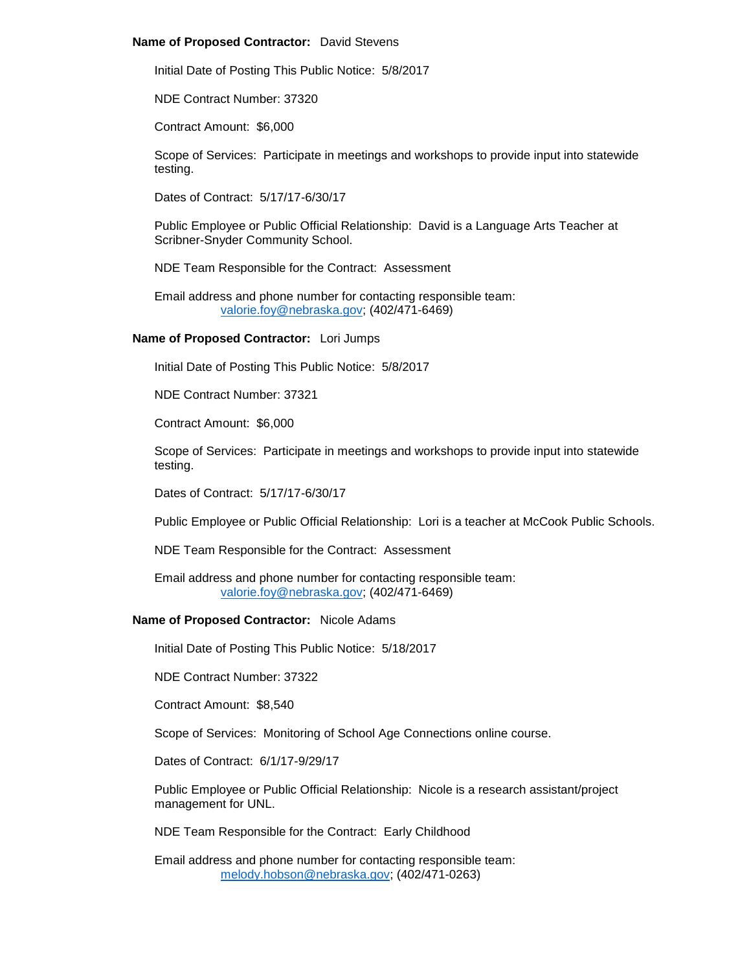## **Name of Proposed Contractor:** David Stevens

Initial Date of Posting This Public Notice: 5/8/2017

NDE Contract Number: 37320

Contract Amount: \$6,000

Scope of Services: Participate in meetings and workshops to provide input into statewide testing.

Dates of Contract: 5/17/17-6/30/17

Public Employee or Public Official Relationship: David is a Language Arts Teacher at Scribner-Snyder Community School.

NDE Team Responsible for the Contract: Assessment

Email address and phone number for contacting responsible team: [valorie.foy@nebraska.gov;](mailto:valorie.foy@nebraska.gov) (402/471-6469)

# **Name of Proposed Contractor:** Lori Jumps

Initial Date of Posting This Public Notice: 5/8/2017

NDE Contract Number: 37321

Contract Amount: \$6,000

Scope of Services: Participate in meetings and workshops to provide input into statewide testing.

Dates of Contract: 5/17/17-6/30/17

Public Employee or Public Official Relationship: Lori is a teacher at McCook Public Schools.

NDE Team Responsible for the Contract: Assessment

Email address and phone number for contacting responsible team: [valorie.foy@nebraska.gov;](mailto:valorie.foy@nebraska.gov) (402/471-6469)

# **Name of Proposed Contractor:** Nicole Adams

Initial Date of Posting This Public Notice: 5/18/2017

NDE Contract Number: 37322

Contract Amount: \$8,540

Scope of Services: Monitoring of School Age Connections online course.

Dates of Contract: 6/1/17-9/29/17

Public Employee or Public Official Relationship: Nicole is a research assistant/project management for UNL.

NDE Team Responsible for the Contract: Early Childhood

Email address and phone number for contacting responsible team: [melody.hobson@nebraska.gov;](mailto:melody.hobson@nebraska.gov) (402/471-0263)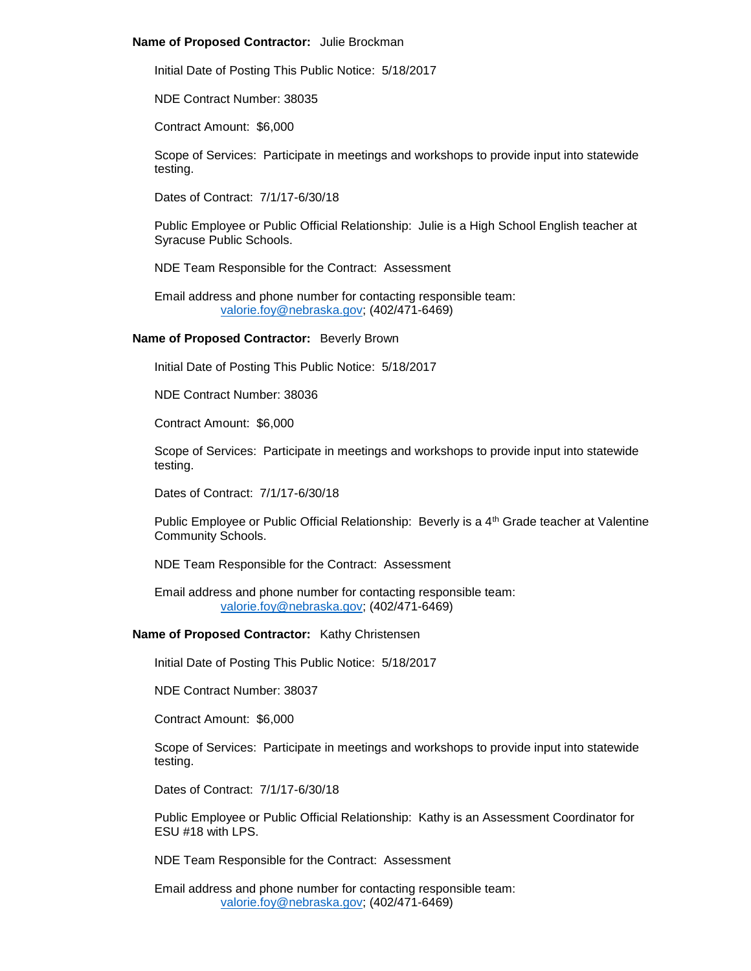#### **Name of Proposed Contractor:** Julie Brockman

Initial Date of Posting This Public Notice: 5/18/2017

NDE Contract Number: 38035

Contract Amount: \$6,000

Scope of Services: Participate in meetings and workshops to provide input into statewide testing.

Dates of Contract: 7/1/17-6/30/18

Public Employee or Public Official Relationship: Julie is a High School English teacher at Syracuse Public Schools.

NDE Team Responsible for the Contract: Assessment

Email address and phone number for contacting responsible team: [valorie.foy@nebraska.gov;](mailto:valorie.foy@nebraska.gov) (402/471-6469)

#### **Name of Proposed Contractor:** Beverly Brown

Initial Date of Posting This Public Notice: 5/18/2017

NDE Contract Number: 38036

Contract Amount: \$6,000

Scope of Services: Participate in meetings and workshops to provide input into statewide testing.

Dates of Contract: 7/1/17-6/30/18

Public Employee or Public Official Relationship: Beverly is a 4<sup>th</sup> Grade teacher at Valentine Community Schools.

NDE Team Responsible for the Contract: Assessment

Email address and phone number for contacting responsible team: [valorie.foy@nebraska.gov;](mailto:valorie.foy@nebraska.gov) (402/471-6469)

## **Name of Proposed Contractor:** Kathy Christensen

Initial Date of Posting This Public Notice: 5/18/2017

NDE Contract Number: 38037

Contract Amount: \$6,000

Scope of Services: Participate in meetings and workshops to provide input into statewide testing.

Dates of Contract: 7/1/17-6/30/18

Public Employee or Public Official Relationship: Kathy is an Assessment Coordinator for ESU #18 with LPS.

NDE Team Responsible for the Contract: Assessment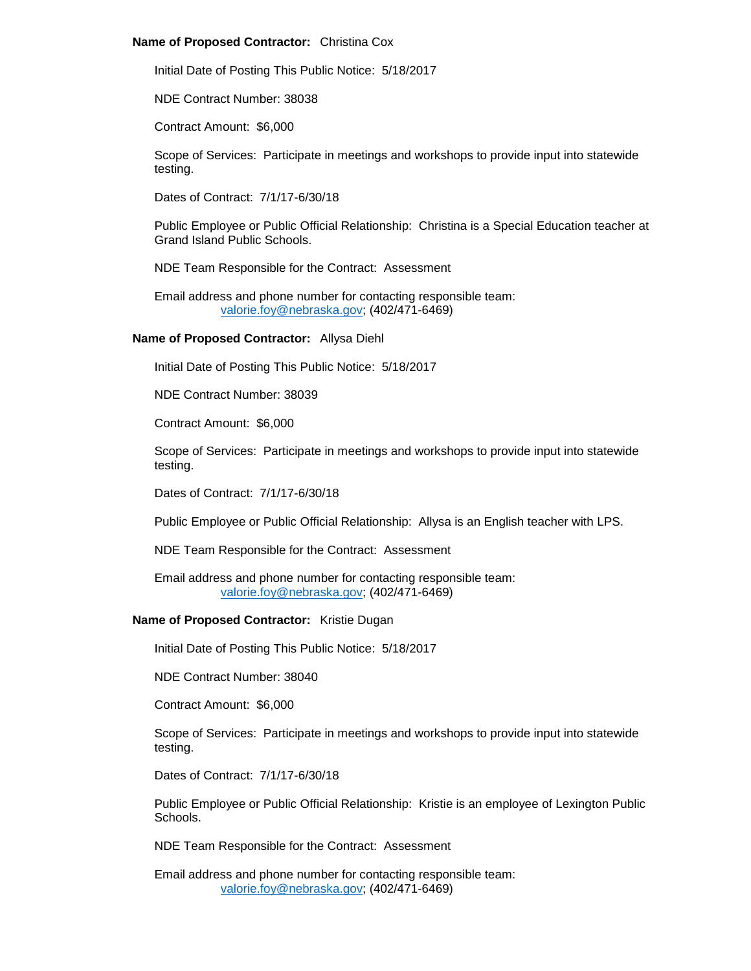## **Name of Proposed Contractor:** Christina Cox

Initial Date of Posting This Public Notice: 5/18/2017

NDE Contract Number: 38038

Contract Amount: \$6,000

Scope of Services: Participate in meetings and workshops to provide input into statewide testing.

Dates of Contract: 7/1/17-6/30/18

Public Employee or Public Official Relationship: Christina is a Special Education teacher at Grand Island Public Schools.

NDE Team Responsible for the Contract: Assessment

Email address and phone number for contacting responsible team: [valorie.foy@nebraska.gov;](mailto:valorie.foy@nebraska.gov) (402/471-6469)

# **Name of Proposed Contractor:** Allysa Diehl

Initial Date of Posting This Public Notice: 5/18/2017

NDE Contract Number: 38039

Contract Amount: \$6,000

Scope of Services: Participate in meetings and workshops to provide input into statewide testing.

Dates of Contract: 7/1/17-6/30/18

Public Employee or Public Official Relationship: Allysa is an English teacher with LPS.

NDE Team Responsible for the Contract: Assessment

Email address and phone number for contacting responsible team: [valorie.foy@nebraska.gov;](mailto:valorie.foy@nebraska.gov) (402/471-6469)

# **Name of Proposed Contractor:** Kristie Dugan

Initial Date of Posting This Public Notice: 5/18/2017

NDE Contract Number: 38040

Contract Amount: \$6,000

Scope of Services: Participate in meetings and workshops to provide input into statewide testing.

Dates of Contract: 7/1/17-6/30/18

Public Employee or Public Official Relationship: Kristie is an employee of Lexington Public Schools.

NDE Team Responsible for the Contract: Assessment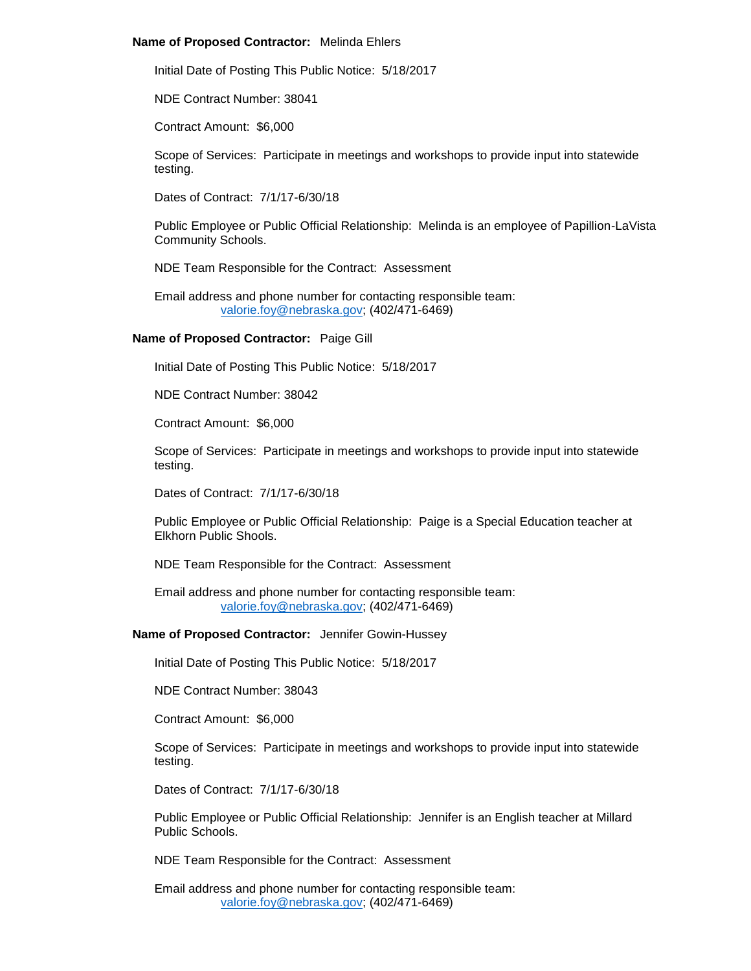## **Name of Proposed Contractor:** Melinda Ehlers

Initial Date of Posting This Public Notice: 5/18/2017

NDE Contract Number: 38041

Contract Amount: \$6,000

Scope of Services: Participate in meetings and workshops to provide input into statewide testing.

Dates of Contract: 7/1/17-6/30/18

Public Employee or Public Official Relationship: Melinda is an employee of Papillion-LaVista Community Schools.

NDE Team Responsible for the Contract: Assessment

Email address and phone number for contacting responsible team: [valorie.foy@nebraska.gov;](mailto:valorie.foy@nebraska.gov) (402/471-6469)

# **Name of Proposed Contractor:** Paige Gill

Initial Date of Posting This Public Notice: 5/18/2017

NDE Contract Number: 38042

Contract Amount: \$6,000

Scope of Services: Participate in meetings and workshops to provide input into statewide testing.

Dates of Contract: 7/1/17-6/30/18

Public Employee or Public Official Relationship: Paige is a Special Education teacher at Elkhorn Public Shools.

NDE Team Responsible for the Contract: Assessment

Email address and phone number for contacting responsible team: [valorie.foy@nebraska.gov;](mailto:valorie.foy@nebraska.gov) (402/471-6469)

**Name of Proposed Contractor:** Jennifer Gowin-Hussey

Initial Date of Posting This Public Notice: 5/18/2017

NDE Contract Number: 38043

Contract Amount: \$6,000

Scope of Services: Participate in meetings and workshops to provide input into statewide testing.

Dates of Contract: 7/1/17-6/30/18

Public Employee or Public Official Relationship: Jennifer is an English teacher at Millard Public Schools.

NDE Team Responsible for the Contract: Assessment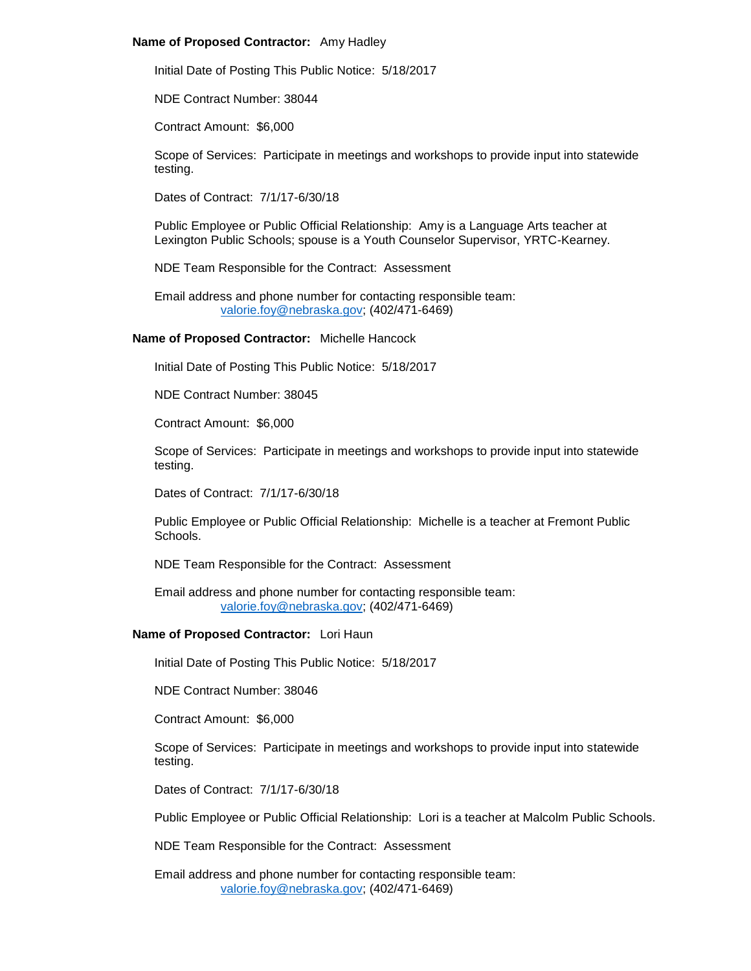#### **Name of Proposed Contractor:** Amy Hadley

Initial Date of Posting This Public Notice: 5/18/2017

NDE Contract Number: 38044

Contract Amount: \$6,000

Scope of Services: Participate in meetings and workshops to provide input into statewide testing.

Dates of Contract: 7/1/17-6/30/18

Public Employee or Public Official Relationship: Amy is a Language Arts teacher at Lexington Public Schools; spouse is a Youth Counselor Supervisor, YRTC-Kearney.

NDE Team Responsible for the Contract: Assessment

Email address and phone number for contacting responsible team: [valorie.foy@nebraska.gov;](mailto:valorie.foy@nebraska.gov) (402/471-6469)

**Name of Proposed Contractor:** Michelle Hancock

Initial Date of Posting This Public Notice: 5/18/2017

NDE Contract Number: 38045

Contract Amount: \$6,000

Scope of Services: Participate in meetings and workshops to provide input into statewide testing.

Dates of Contract: 7/1/17-6/30/18

Public Employee or Public Official Relationship: Michelle is a teacher at Fremont Public **Schools** 

NDE Team Responsible for the Contract: Assessment

Email address and phone number for contacting responsible team: [valorie.foy@nebraska.gov;](mailto:valorie.foy@nebraska.gov) (402/471-6469)

# **Name of Proposed Contractor:** Lori Haun

Initial Date of Posting This Public Notice: 5/18/2017

NDE Contract Number: 38046

Contract Amount: \$6,000

Scope of Services: Participate in meetings and workshops to provide input into statewide testing.

Dates of Contract: 7/1/17-6/30/18

Public Employee or Public Official Relationship: Lori is a teacher at Malcolm Public Schools.

NDE Team Responsible for the Contract: Assessment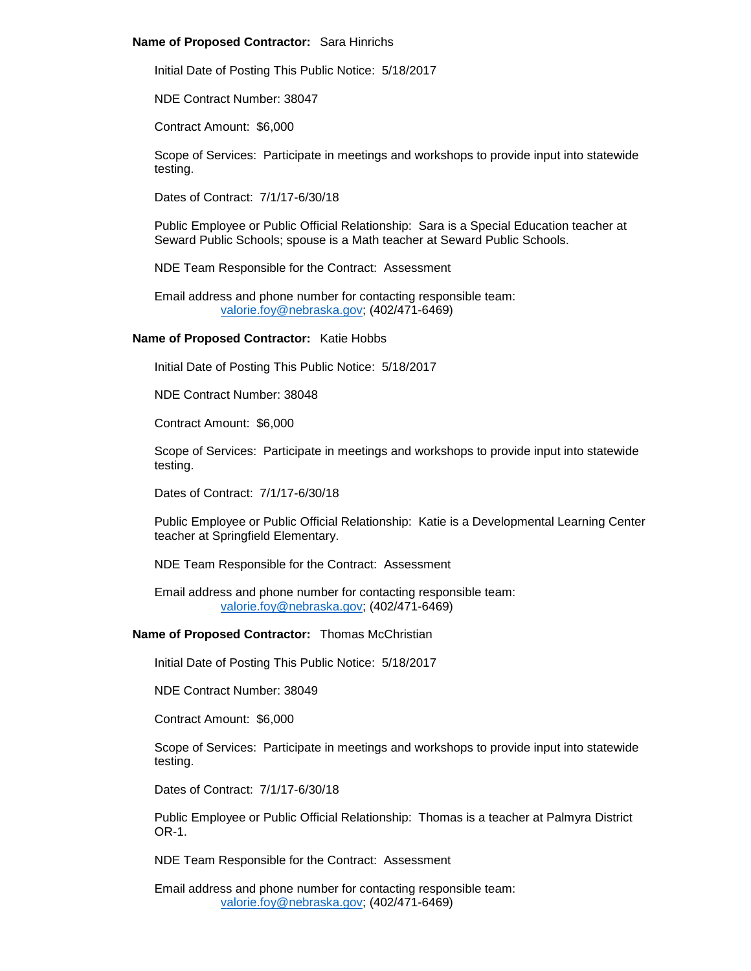#### **Name of Proposed Contractor:** Sara Hinrichs

Initial Date of Posting This Public Notice: 5/18/2017

NDE Contract Number: 38047

Contract Amount: \$6,000

Scope of Services: Participate in meetings and workshops to provide input into statewide testing.

Dates of Contract: 7/1/17-6/30/18

Public Employee or Public Official Relationship: Sara is a Special Education teacher at Seward Public Schools; spouse is a Math teacher at Seward Public Schools.

NDE Team Responsible for the Contract: Assessment

Email address and phone number for contacting responsible team: [valorie.foy@nebraska.gov;](mailto:valorie.foy@nebraska.gov) (402/471-6469)

#### **Name of Proposed Contractor:** Katie Hobbs

Initial Date of Posting This Public Notice: 5/18/2017

NDE Contract Number: 38048

Contract Amount: \$6,000

Scope of Services: Participate in meetings and workshops to provide input into statewide testing.

Dates of Contract: 7/1/17-6/30/18

Public Employee or Public Official Relationship: Katie is a Developmental Learning Center teacher at Springfield Elementary.

NDE Team Responsible for the Contract: Assessment

Email address and phone number for contacting responsible team: [valorie.foy@nebraska.gov;](mailto:valorie.foy@nebraska.gov) (402/471-6469)

## **Name of Proposed Contractor:** Thomas McChristian

Initial Date of Posting This Public Notice: 5/18/2017

NDE Contract Number: 38049

Contract Amount: \$6,000

Scope of Services: Participate in meetings and workshops to provide input into statewide testing.

Dates of Contract: 7/1/17-6/30/18

Public Employee or Public Official Relationship: Thomas is a teacher at Palmyra District OR-1.

NDE Team Responsible for the Contract: Assessment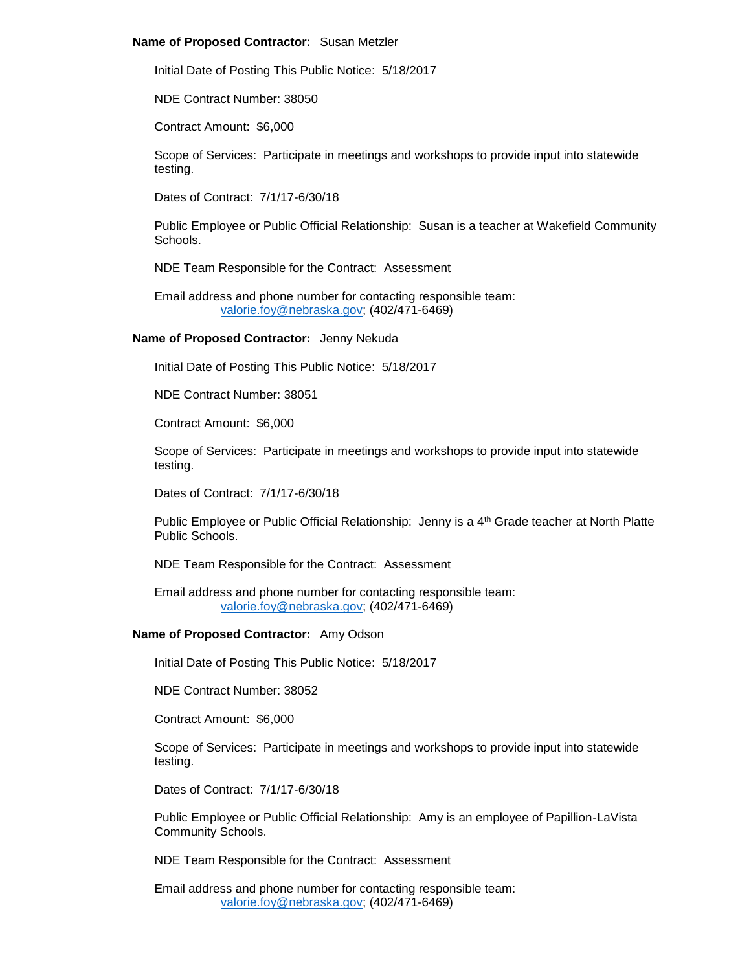#### **Name of Proposed Contractor:** Susan Metzler

Initial Date of Posting This Public Notice: 5/18/2017

NDE Contract Number: 38050

Contract Amount: \$6,000

Scope of Services: Participate in meetings and workshops to provide input into statewide testing.

Dates of Contract: 7/1/17-6/30/18

Public Employee or Public Official Relationship: Susan is a teacher at Wakefield Community Schools.

NDE Team Responsible for the Contract: Assessment

Email address and phone number for contacting responsible team: [valorie.foy@nebraska.gov;](mailto:valorie.foy@nebraska.gov) (402/471-6469)

# **Name of Proposed Contractor:** Jenny Nekuda

Initial Date of Posting This Public Notice: 5/18/2017

NDE Contract Number: 38051

Contract Amount: \$6,000

Scope of Services: Participate in meetings and workshops to provide input into statewide testing.

Dates of Contract: 7/1/17-6/30/18

Public Employee or Public Official Relationship: Jenny is a 4<sup>th</sup> Grade teacher at North Platte Public Schools.

NDE Team Responsible for the Contract: Assessment

Email address and phone number for contacting responsible team: [valorie.foy@nebraska.gov;](mailto:valorie.foy@nebraska.gov) (402/471-6469)

## **Name of Proposed Contractor:** Amy Odson

Initial Date of Posting This Public Notice: 5/18/2017

NDE Contract Number: 38052

Contract Amount: \$6,000

Scope of Services: Participate in meetings and workshops to provide input into statewide testing.

Dates of Contract: 7/1/17-6/30/18

Public Employee or Public Official Relationship: Amy is an employee of Papillion-LaVista Community Schools.

NDE Team Responsible for the Contract: Assessment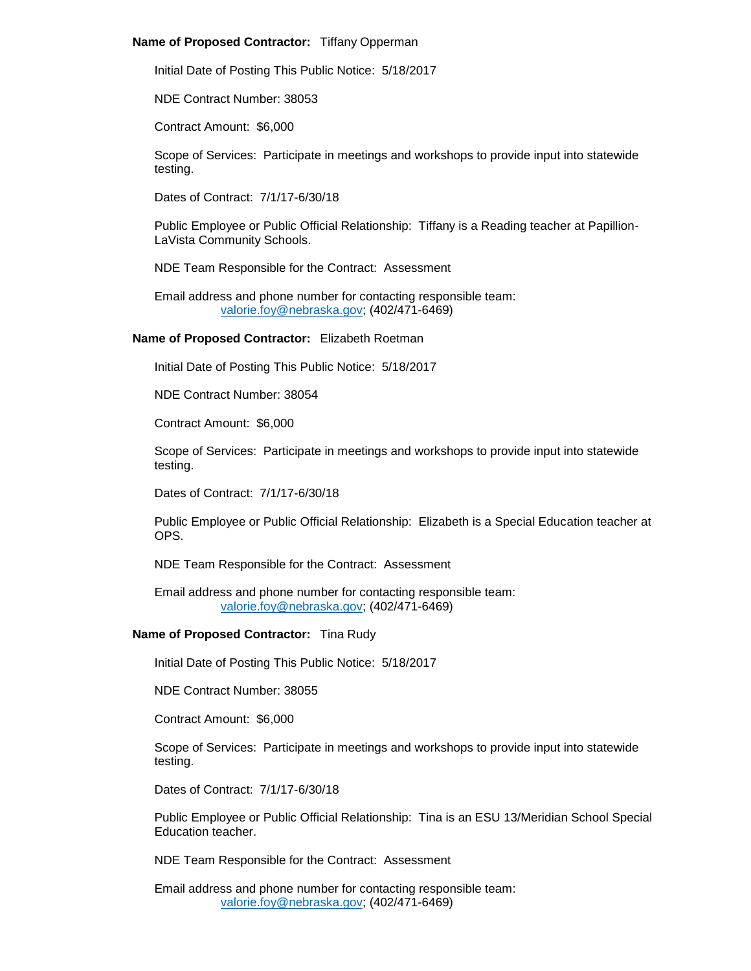## **Name of Proposed Contractor:** Tiffany Opperman

Initial Date of Posting This Public Notice: 5/18/2017

NDE Contract Number: 38053

Contract Amount: \$6,000

Scope of Services: Participate in meetings and workshops to provide input into statewide testing.

Dates of Contract: 7/1/17-6/30/18

Public Employee or Public Official Relationship: Tiffany is a Reading teacher at Papillion-LaVista Community Schools.

NDE Team Responsible for the Contract: Assessment

Email address and phone number for contacting responsible team: [valorie.foy@nebraska.gov;](mailto:valorie.foy@nebraska.gov) (402/471-6469)

**Name of Proposed Contractor:** Elizabeth Roetman

Initial Date of Posting This Public Notice: 5/18/2017

NDE Contract Number: 38054

Contract Amount: \$6,000

Scope of Services: Participate in meetings and workshops to provide input into statewide testing.

Dates of Contract: 7/1/17-6/30/18

Public Employee or Public Official Relationship: Elizabeth is a Special Education teacher at OPS.

NDE Team Responsible for the Contract: Assessment

Email address and phone number for contacting responsible team: [valorie.foy@nebraska.gov;](mailto:valorie.foy@nebraska.gov) (402/471-6469)

# **Name of Proposed Contractor:** Tina Rudy

Initial Date of Posting This Public Notice: 5/18/2017

NDE Contract Number: 38055

Contract Amount: \$6,000

Scope of Services: Participate in meetings and workshops to provide input into statewide testing.

Dates of Contract: 7/1/17-6/30/18

Public Employee or Public Official Relationship: Tina is an ESU 13/Meridian School Special Education teacher.

NDE Team Responsible for the Contract: Assessment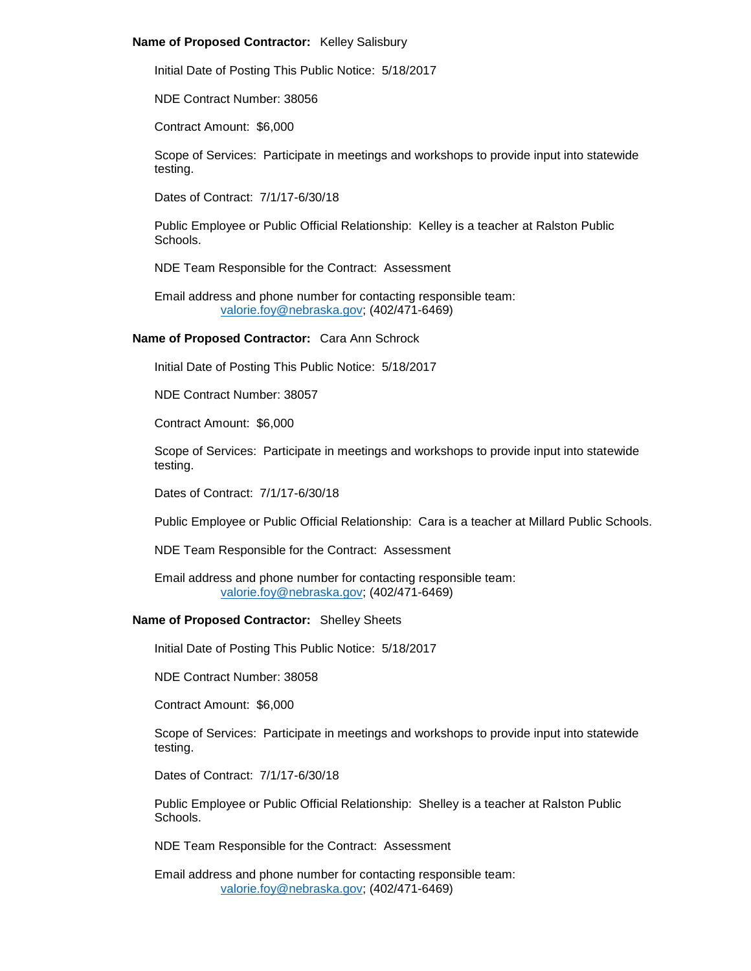## **Name of Proposed Contractor:** Kelley Salisbury

Initial Date of Posting This Public Notice: 5/18/2017

NDE Contract Number: 38056

Contract Amount: \$6,000

Scope of Services: Participate in meetings and workshops to provide input into statewide testing.

Dates of Contract: 7/1/17-6/30/18

Public Employee or Public Official Relationship: Kelley is a teacher at Ralston Public Schools.

NDE Team Responsible for the Contract: Assessment

Email address and phone number for contacting responsible team: [valorie.foy@nebraska.gov;](mailto:valorie.foy@nebraska.gov) (402/471-6469)

**Name of Proposed Contractor:** Cara Ann Schrock

Initial Date of Posting This Public Notice: 5/18/2017

NDE Contract Number: 38057

Contract Amount: \$6,000

Scope of Services: Participate in meetings and workshops to provide input into statewide testing.

Dates of Contract: 7/1/17-6/30/18

Public Employee or Public Official Relationship: Cara is a teacher at Millard Public Schools.

NDE Team Responsible for the Contract: Assessment

Email address and phone number for contacting responsible team: [valorie.foy@nebraska.gov;](mailto:valorie.foy@nebraska.gov) (402/471-6469)

# **Name of Proposed Contractor:** Shelley Sheets

Initial Date of Posting This Public Notice: 5/18/2017

NDE Contract Number: 38058

Contract Amount: \$6,000

Scope of Services: Participate in meetings and workshops to provide input into statewide testing.

Dates of Contract: 7/1/17-6/30/18

Public Employee or Public Official Relationship: Shelley is a teacher at Ralston Public Schools.

NDE Team Responsible for the Contract: Assessment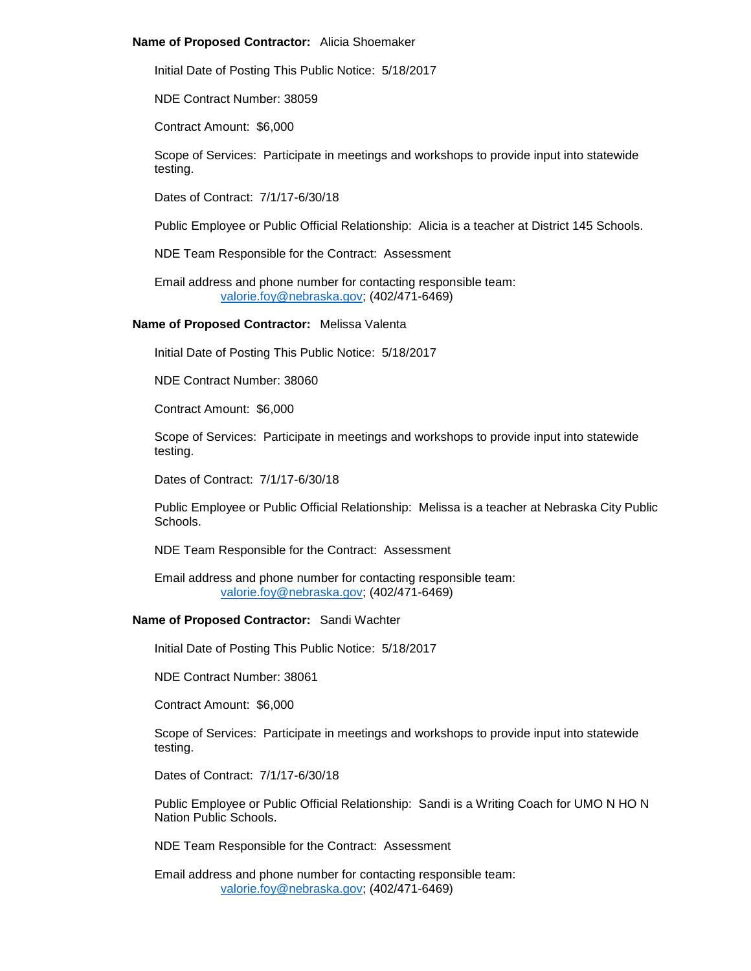#### **Name of Proposed Contractor:** Alicia Shoemaker

Initial Date of Posting This Public Notice: 5/18/2017

NDE Contract Number: 38059

Contract Amount: \$6,000

Scope of Services: Participate in meetings and workshops to provide input into statewide testing.

Dates of Contract: 7/1/17-6/30/18

Public Employee or Public Official Relationship: Alicia is a teacher at District 145 Schools.

NDE Team Responsible for the Contract: Assessment

Email address and phone number for contacting responsible team: [valorie.foy@nebraska.gov;](mailto:valorie.foy@nebraska.gov) (402/471-6469)

**Name of Proposed Contractor:** Melissa Valenta

Initial Date of Posting This Public Notice: 5/18/2017

NDE Contract Number: 38060

Contract Amount: \$6,000

Scope of Services: Participate in meetings and workshops to provide input into statewide testing.

Dates of Contract: 7/1/17-6/30/18

Public Employee or Public Official Relationship: Melissa is a teacher at Nebraska City Public Schools.

NDE Team Responsible for the Contract: Assessment

Email address and phone number for contacting responsible team: [valorie.foy@nebraska.gov;](mailto:valorie.foy@nebraska.gov) (402/471-6469)

# **Name of Proposed Contractor:** Sandi Wachter

Initial Date of Posting This Public Notice: 5/18/2017

NDE Contract Number: 38061

Contract Amount: \$6,000

Scope of Services: Participate in meetings and workshops to provide input into statewide testing.

Dates of Contract: 7/1/17-6/30/18

Public Employee or Public Official Relationship: Sandi is a Writing Coach for UMO N HO N Nation Public Schools.

NDE Team Responsible for the Contract: Assessment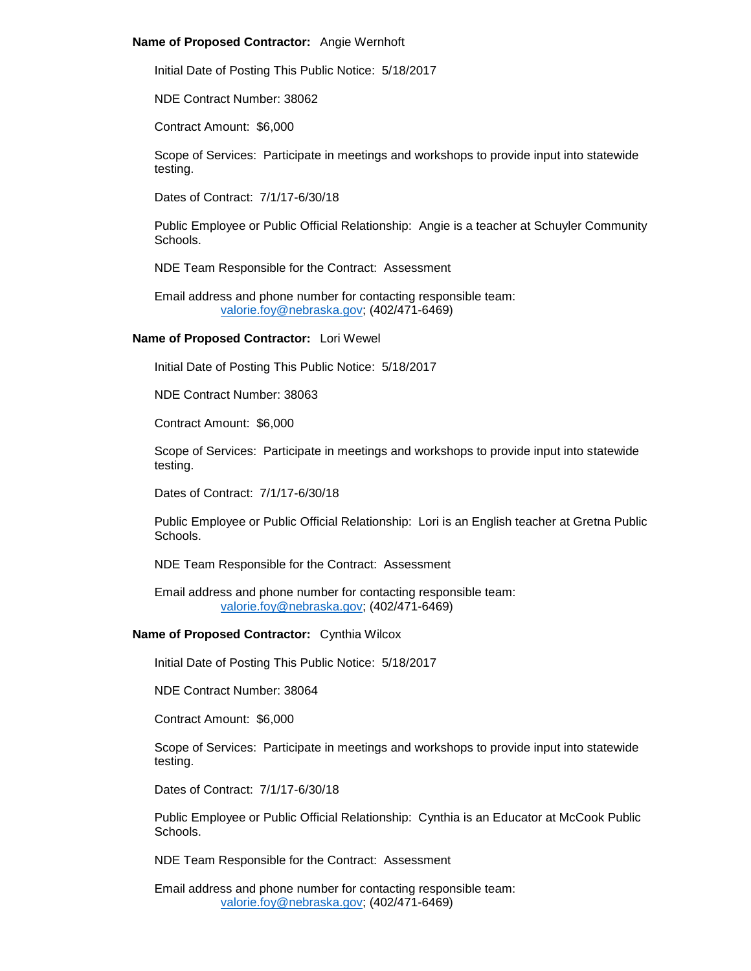## **Name of Proposed Contractor:** Angie Wernhoft

Initial Date of Posting This Public Notice: 5/18/2017

NDE Contract Number: 38062

Contract Amount: \$6,000

Scope of Services: Participate in meetings and workshops to provide input into statewide testing.

Dates of Contract: 7/1/17-6/30/18

Public Employee or Public Official Relationship: Angie is a teacher at Schuyler Community Schools.

NDE Team Responsible for the Contract: Assessment

Email address and phone number for contacting responsible team: [valorie.foy@nebraska.gov;](mailto:valorie.foy@nebraska.gov) (402/471-6469)

# **Name of Proposed Contractor:** Lori Wewel

Initial Date of Posting This Public Notice: 5/18/2017

NDE Contract Number: 38063

Contract Amount: \$6,000

Scope of Services: Participate in meetings and workshops to provide input into statewide testing.

Dates of Contract: 7/1/17-6/30/18

Public Employee or Public Official Relationship: Lori is an English teacher at Gretna Public Schools.

NDE Team Responsible for the Contract: Assessment

Email address and phone number for contacting responsible team: [valorie.foy@nebraska.gov;](mailto:valorie.foy@nebraska.gov) (402/471-6469)

## **Name of Proposed Contractor:** Cynthia Wilcox

Initial Date of Posting This Public Notice: 5/18/2017

NDE Contract Number: 38064

Contract Amount: \$6,000

Scope of Services: Participate in meetings and workshops to provide input into statewide testing.

Dates of Contract: 7/1/17-6/30/18

Public Employee or Public Official Relationship: Cynthia is an Educator at McCook Public Schools.

NDE Team Responsible for the Contract: Assessment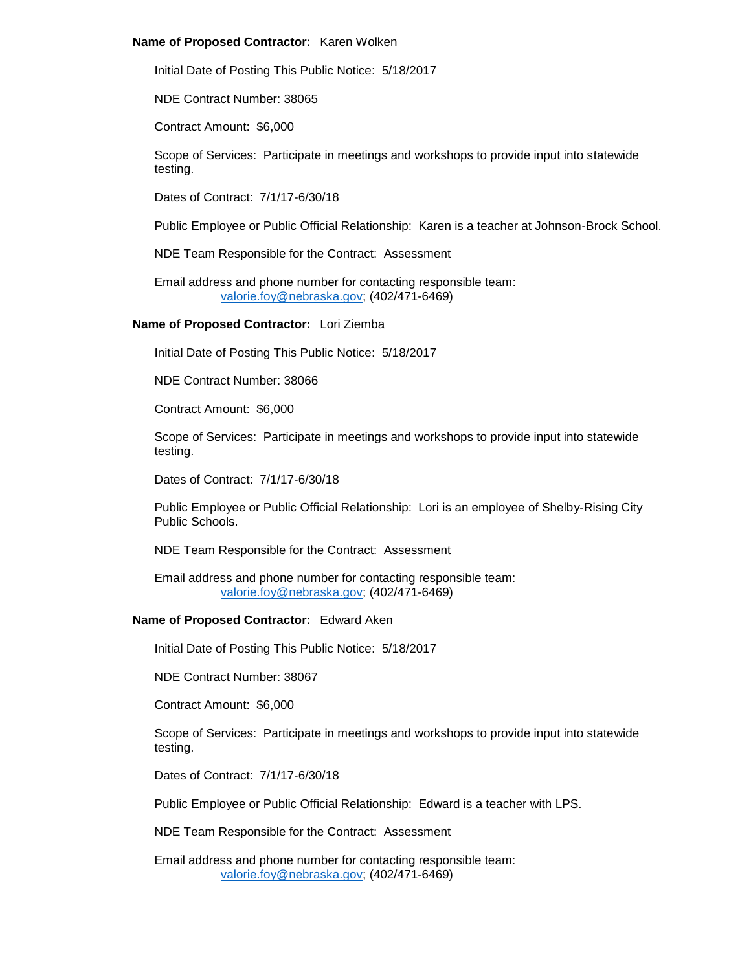## **Name of Proposed Contractor:** Karen Wolken

Initial Date of Posting This Public Notice: 5/18/2017

NDE Contract Number: 38065

Contract Amount: \$6,000

Scope of Services: Participate in meetings and workshops to provide input into statewide testing.

Dates of Contract: 7/1/17-6/30/18

Public Employee or Public Official Relationship: Karen is a teacher at Johnson-Brock School.

NDE Team Responsible for the Contract: Assessment

Email address and phone number for contacting responsible team: [valorie.foy@nebraska.gov;](mailto:valorie.foy@nebraska.gov) (402/471-6469)

**Name of Proposed Contractor:** Lori Ziemba

Initial Date of Posting This Public Notice: 5/18/2017

NDE Contract Number: 38066

Contract Amount: \$6,000

Scope of Services: Participate in meetings and workshops to provide input into statewide testing.

Dates of Contract: 7/1/17-6/30/18

Public Employee or Public Official Relationship: Lori is an employee of Shelby-Rising City Public Schools.

NDE Team Responsible for the Contract: Assessment

Email address and phone number for contacting responsible team: [valorie.foy@nebraska.gov;](mailto:valorie.foy@nebraska.gov) (402/471-6469)

# **Name of Proposed Contractor:** Edward Aken

Initial Date of Posting This Public Notice: 5/18/2017

NDE Contract Number: 38067

Contract Amount: \$6,000

Scope of Services: Participate in meetings and workshops to provide input into statewide testing.

Dates of Contract: 7/1/17-6/30/18

Public Employee or Public Official Relationship: Edward is a teacher with LPS.

NDE Team Responsible for the Contract: Assessment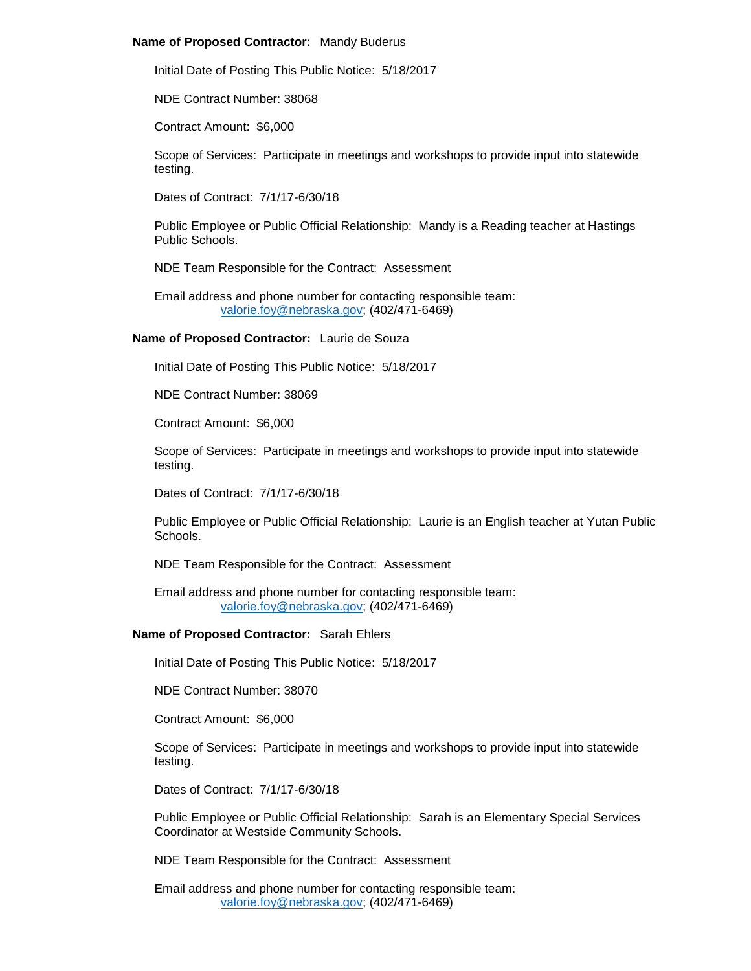#### **Name of Proposed Contractor:** Mandy Buderus

Initial Date of Posting This Public Notice: 5/18/2017

NDE Contract Number: 38068

Contract Amount: \$6,000

Scope of Services: Participate in meetings and workshops to provide input into statewide testing.

Dates of Contract: 7/1/17-6/30/18

Public Employee or Public Official Relationship: Mandy is a Reading teacher at Hastings Public Schools.

NDE Team Responsible for the Contract: Assessment

Email address and phone number for contacting responsible team: [valorie.foy@nebraska.gov;](mailto:valorie.foy@nebraska.gov) (402/471-6469)

# **Name of Proposed Contractor:** Laurie de Souza

Initial Date of Posting This Public Notice: 5/18/2017

NDE Contract Number: 38069

Contract Amount: \$6,000

Scope of Services: Participate in meetings and workshops to provide input into statewide testing.

Dates of Contract: 7/1/17-6/30/18

Public Employee or Public Official Relationship: Laurie is an English teacher at Yutan Public Schools.

NDE Team Responsible for the Contract: Assessment

Email address and phone number for contacting responsible team: [valorie.foy@nebraska.gov;](mailto:valorie.foy@nebraska.gov) (402/471-6469)

## **Name of Proposed Contractor:** Sarah Ehlers

Initial Date of Posting This Public Notice: 5/18/2017

NDE Contract Number: 38070

Contract Amount: \$6,000

Scope of Services: Participate in meetings and workshops to provide input into statewide testing.

Dates of Contract: 7/1/17-6/30/18

Public Employee or Public Official Relationship: Sarah is an Elementary Special Services Coordinator at Westside Community Schools.

NDE Team Responsible for the Contract: Assessment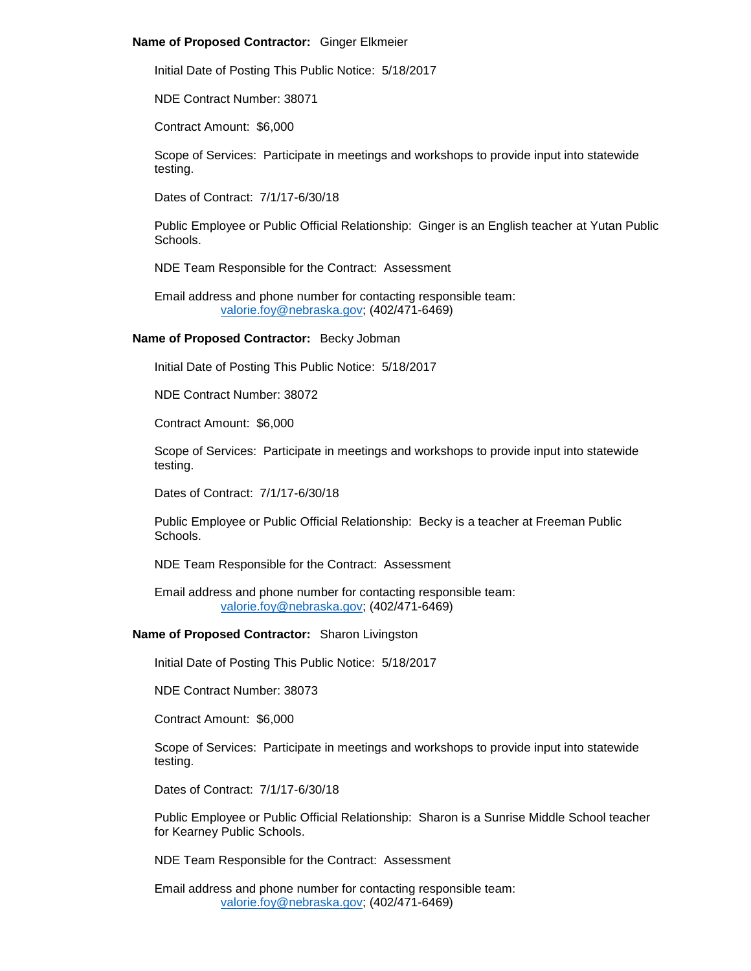#### **Name of Proposed Contractor:** Ginger Elkmeier

Initial Date of Posting This Public Notice: 5/18/2017

NDE Contract Number: 38071

Contract Amount: \$6,000

Scope of Services: Participate in meetings and workshops to provide input into statewide testing.

Dates of Contract: 7/1/17-6/30/18

Public Employee or Public Official Relationship: Ginger is an English teacher at Yutan Public Schools.

NDE Team Responsible for the Contract: Assessment

Email address and phone number for contacting responsible team: [valorie.foy@nebraska.gov;](mailto:valorie.foy@nebraska.gov) (402/471-6469)

# **Name of Proposed Contractor:** Becky Jobman

Initial Date of Posting This Public Notice: 5/18/2017

NDE Contract Number: 38072

Contract Amount: \$6,000

Scope of Services: Participate in meetings and workshops to provide input into statewide testing.

Dates of Contract: 7/1/17-6/30/18

Public Employee or Public Official Relationship: Becky is a teacher at Freeman Public Schools.

NDE Team Responsible for the Contract: Assessment

Email address and phone number for contacting responsible team: [valorie.foy@nebraska.gov;](mailto:valorie.foy@nebraska.gov) (402/471-6469)

## **Name of Proposed Contractor:** Sharon Livingston

Initial Date of Posting This Public Notice: 5/18/2017

NDE Contract Number: 38073

Contract Amount: \$6,000

Scope of Services: Participate in meetings and workshops to provide input into statewide testing.

Dates of Contract: 7/1/17-6/30/18

Public Employee or Public Official Relationship: Sharon is a Sunrise Middle School teacher for Kearney Public Schools.

NDE Team Responsible for the Contract: Assessment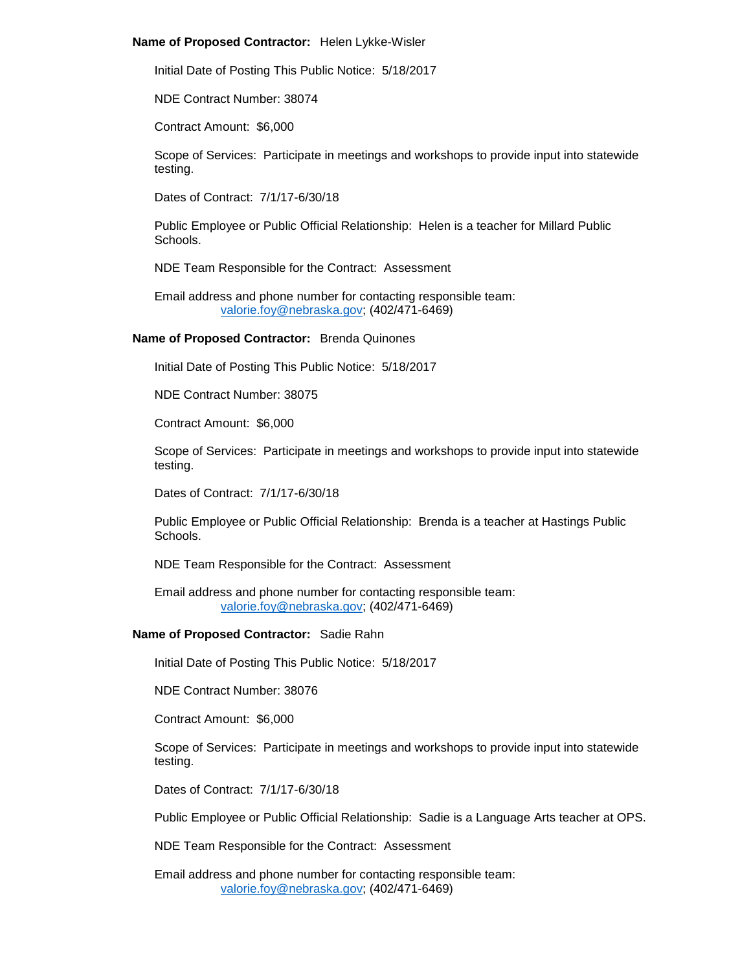#### **Name of Proposed Contractor:** Helen Lykke-Wisler

Initial Date of Posting This Public Notice: 5/18/2017

NDE Contract Number: 38074

Contract Amount: \$6,000

Scope of Services: Participate in meetings and workshops to provide input into statewide testing.

Dates of Contract: 7/1/17-6/30/18

Public Employee or Public Official Relationship: Helen is a teacher for Millard Public Schools.

NDE Team Responsible for the Contract: Assessment

Email address and phone number for contacting responsible team: [valorie.foy@nebraska.gov;](mailto:valorie.foy@nebraska.gov) (402/471-6469)

#### **Name of Proposed Contractor:** Brenda Quinones

Initial Date of Posting This Public Notice: 5/18/2017

NDE Contract Number: 38075

Contract Amount: \$6,000

Scope of Services: Participate in meetings and workshops to provide input into statewide testing.

Dates of Contract: 7/1/17-6/30/18

Public Employee or Public Official Relationship: Brenda is a teacher at Hastings Public Schools.

NDE Team Responsible for the Contract: Assessment

Email address and phone number for contacting responsible team: [valorie.foy@nebraska.gov;](mailto:valorie.foy@nebraska.gov) (402/471-6469)

## **Name of Proposed Contractor:** Sadie Rahn

Initial Date of Posting This Public Notice: 5/18/2017

NDE Contract Number: 38076

Contract Amount: \$6,000

Scope of Services: Participate in meetings and workshops to provide input into statewide testing.

Dates of Contract: 7/1/17-6/30/18

Public Employee or Public Official Relationship: Sadie is a Language Arts teacher at OPS.

NDE Team Responsible for the Contract: Assessment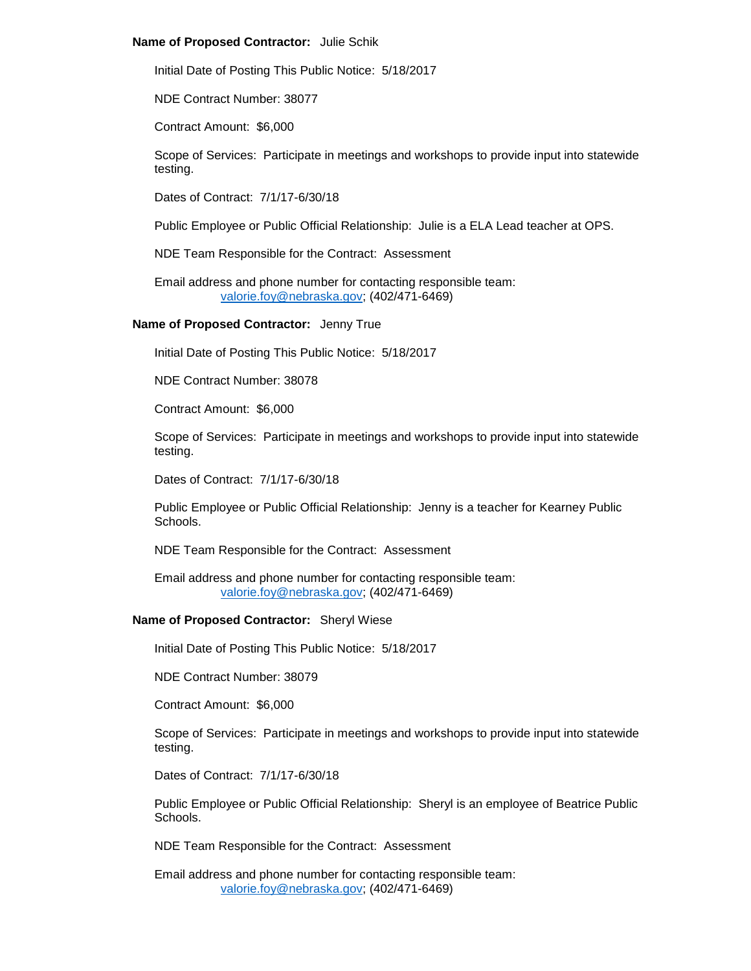## **Name of Proposed Contractor:** Julie Schik

Initial Date of Posting This Public Notice: 5/18/2017

NDE Contract Number: 38077

Contract Amount: \$6,000

Scope of Services: Participate in meetings and workshops to provide input into statewide testing.

Dates of Contract: 7/1/17-6/30/18

Public Employee or Public Official Relationship: Julie is a ELA Lead teacher at OPS.

NDE Team Responsible for the Contract: Assessment

Email address and phone number for contacting responsible team: [valorie.foy@nebraska.gov;](mailto:valorie.foy@nebraska.gov) (402/471-6469)

**Name of Proposed Contractor:** Jenny True

Initial Date of Posting This Public Notice: 5/18/2017

NDE Contract Number: 38078

Contract Amount: \$6,000

Scope of Services: Participate in meetings and workshops to provide input into statewide testing.

Dates of Contract: 7/1/17-6/30/18

Public Employee or Public Official Relationship: Jenny is a teacher for Kearney Public Schools.

NDE Team Responsible for the Contract: Assessment

Email address and phone number for contacting responsible team: [valorie.foy@nebraska.gov;](mailto:valorie.foy@nebraska.gov) (402/471-6469)

# **Name of Proposed Contractor:** Sheryl Wiese

Initial Date of Posting This Public Notice: 5/18/2017

NDE Contract Number: 38079

Contract Amount: \$6,000

Scope of Services: Participate in meetings and workshops to provide input into statewide testing.

Dates of Contract: 7/1/17-6/30/18

Public Employee or Public Official Relationship: Sheryl is an employee of Beatrice Public Schools.

NDE Team Responsible for the Contract: Assessment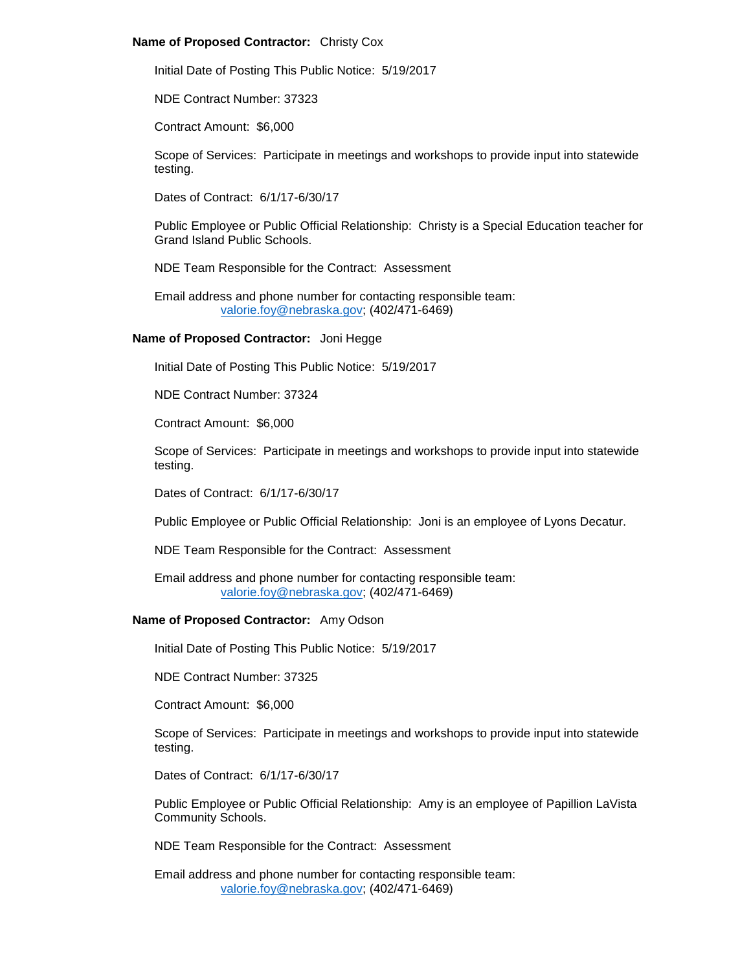## **Name of Proposed Contractor:** Christy Cox

Initial Date of Posting This Public Notice: 5/19/2017

NDE Contract Number: 37323

Contract Amount: \$6,000

Scope of Services: Participate in meetings and workshops to provide input into statewide testing.

Dates of Contract: 6/1/17-6/30/17

Public Employee or Public Official Relationship: Christy is a Special Education teacher for Grand Island Public Schools.

NDE Team Responsible for the Contract: Assessment

Email address and phone number for contacting responsible team: [valorie.foy@nebraska.gov;](mailto:valorie.foy@nebraska.gov) (402/471-6469)

# **Name of Proposed Contractor:** Joni Hegge

Initial Date of Posting This Public Notice: 5/19/2017

NDE Contract Number: 37324

Contract Amount: \$6,000

Scope of Services: Participate in meetings and workshops to provide input into statewide testing.

Dates of Contract: 6/1/17-6/30/17

Public Employee or Public Official Relationship: Joni is an employee of Lyons Decatur.

NDE Team Responsible for the Contract: Assessment

Email address and phone number for contacting responsible team: [valorie.foy@nebraska.gov;](mailto:valorie.foy@nebraska.gov) (402/471-6469)

# **Name of Proposed Contractor:** Amy Odson

Initial Date of Posting This Public Notice: 5/19/2017

NDE Contract Number: 37325

Contract Amount: \$6,000

Scope of Services: Participate in meetings and workshops to provide input into statewide testing.

Dates of Contract: 6/1/17-6/30/17

Public Employee or Public Official Relationship: Amy is an employee of Papillion LaVista Community Schools.

NDE Team Responsible for the Contract: Assessment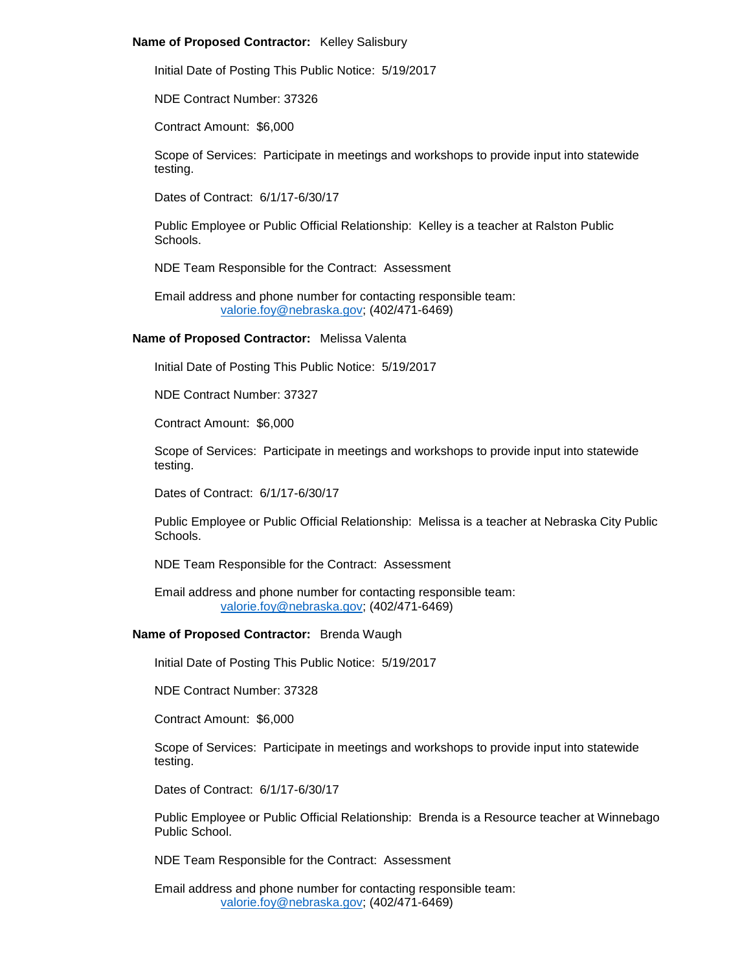#### **Name of Proposed Contractor:** Kelley Salisbury

Initial Date of Posting This Public Notice: 5/19/2017

NDE Contract Number: 37326

Contract Amount: \$6,000

Scope of Services: Participate in meetings and workshops to provide input into statewide testing.

Dates of Contract: 6/1/17-6/30/17

Public Employee or Public Official Relationship: Kelley is a teacher at Ralston Public Schools.

NDE Team Responsible for the Contract: Assessment

Email address and phone number for contacting responsible team: [valorie.foy@nebraska.gov;](mailto:valorie.foy@nebraska.gov) (402/471-6469)

# **Name of Proposed Contractor:** Melissa Valenta

Initial Date of Posting This Public Notice: 5/19/2017

NDE Contract Number: 37327

Contract Amount: \$6,000

Scope of Services: Participate in meetings and workshops to provide input into statewide testing.

Dates of Contract: 6/1/17-6/30/17

Public Employee or Public Official Relationship: Melissa is a teacher at Nebraska City Public Schools.

NDE Team Responsible for the Contract: Assessment

Email address and phone number for contacting responsible team: [valorie.foy@nebraska.gov;](mailto:valorie.foy@nebraska.gov) (402/471-6469)

# **Name of Proposed Contractor:** Brenda Waugh

Initial Date of Posting This Public Notice: 5/19/2017

NDE Contract Number: 37328

Contract Amount: \$6,000

Scope of Services: Participate in meetings and workshops to provide input into statewide testing.

Dates of Contract: 6/1/17-6/30/17

Public Employee or Public Official Relationship: Brenda is a Resource teacher at Winnebago Public School.

NDE Team Responsible for the Contract: Assessment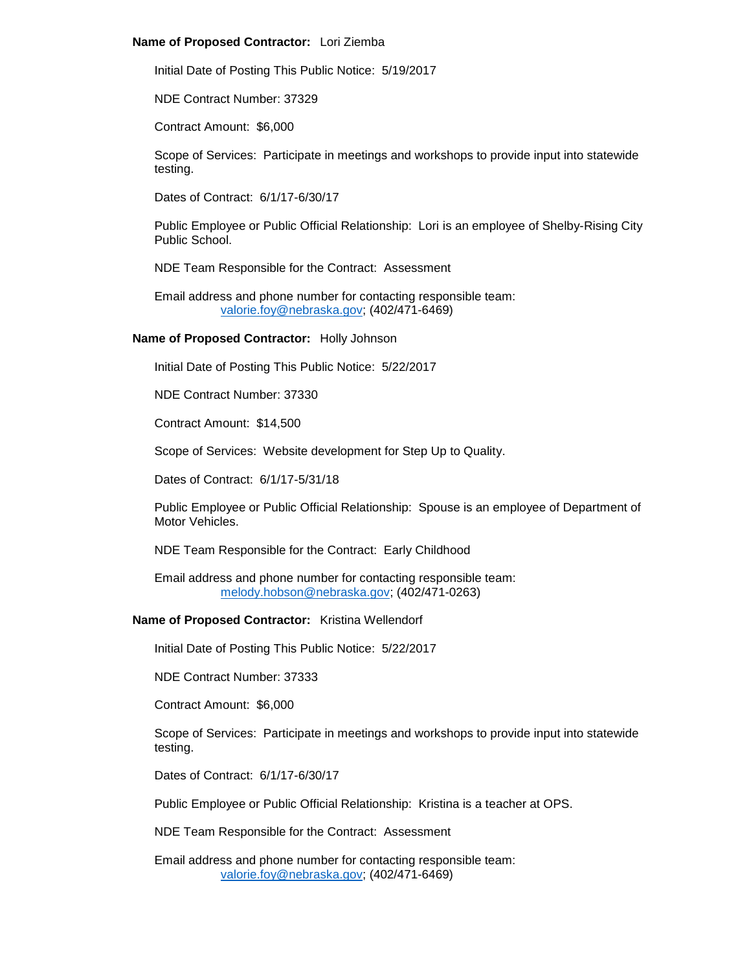# **Name of Proposed Contractor:** Lori Ziemba

Initial Date of Posting This Public Notice: 5/19/2017

NDE Contract Number: 37329

Contract Amount: \$6,000

Scope of Services: Participate in meetings and workshops to provide input into statewide testing.

Dates of Contract: 6/1/17-6/30/17

Public Employee or Public Official Relationship: Lori is an employee of Shelby-Rising City Public School.

NDE Team Responsible for the Contract: Assessment

Email address and phone number for contacting responsible team: [valorie.foy@nebraska.gov;](mailto:valorie.foy@nebraska.gov) (402/471-6469)

# **Name of Proposed Contractor:** Holly Johnson

Initial Date of Posting This Public Notice: 5/22/2017

NDE Contract Number: 37330

Contract Amount: \$14,500

Scope of Services: Website development for Step Up to Quality.

Dates of Contract: 6/1/17-5/31/18

Public Employee or Public Official Relationship: Spouse is an employee of Department of Motor Vehicles.

NDE Team Responsible for the Contract: Early Childhood

Email address and phone number for contacting responsible team: [melody.hobson@nebraska.gov;](mailto:melody.hobson@nebraska.gov) (402/471-0263)

# **Name of Proposed Contractor:** Kristina Wellendorf

Initial Date of Posting This Public Notice: 5/22/2017

NDE Contract Number: 37333

Contract Amount: \$6,000

Scope of Services: Participate in meetings and workshops to provide input into statewide testing.

Dates of Contract: 6/1/17-6/30/17

Public Employee or Public Official Relationship: Kristina is a teacher at OPS.

NDE Team Responsible for the Contract: Assessment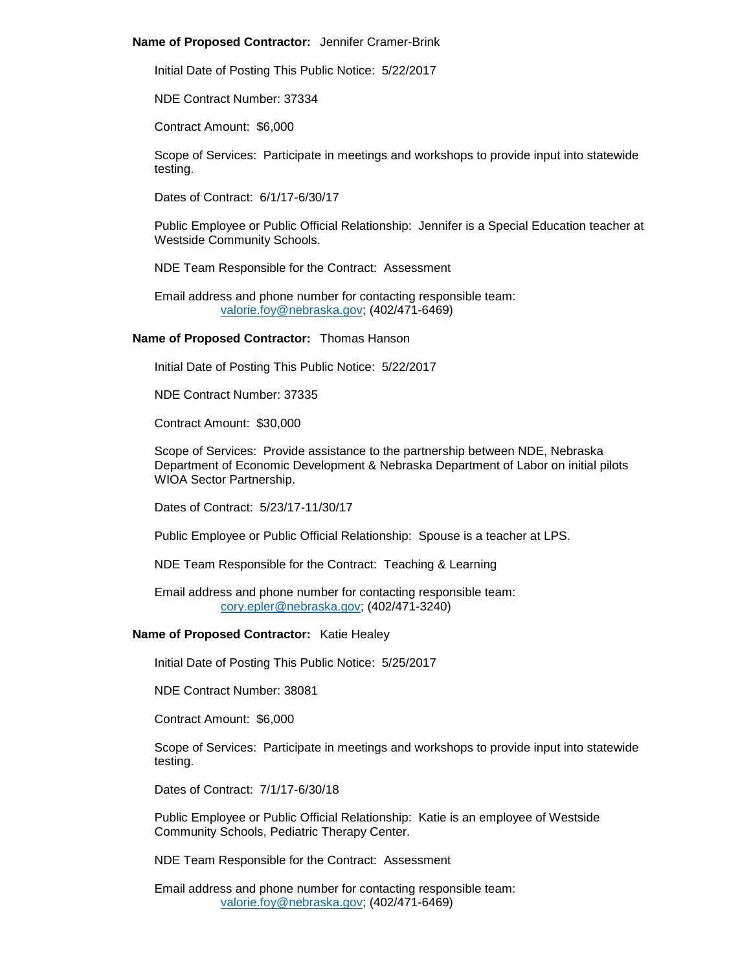#### **Name of Proposed Contractor:** Jennifer Cramer-Brink

Initial Date of Posting This Public Notice: 5/22/2017

NDE Contract Number: 37334

Contract Amount: \$6,000

Scope of Services: Participate in meetings and workshops to provide input into statewide testing.

Dates of Contract: 6/1/17-6/30/17

Public Employee or Public Official Relationship: Jennifer is a Special Education teacher at Westside Community Schools.

NDE Team Responsible for the Contract: Assessment

Email address and phone number for contacting responsible team: [valorie.foy@nebraska.gov;](mailto:valorie.foy@nebraska.gov) (402/471-6469)

**Name of Proposed Contractor:** Thomas Hanson

Initial Date of Posting This Public Notice: 5/22/2017

NDE Contract Number: 37335

Contract Amount: \$30,000

Scope of Services: Provide assistance to the partnership between NDE, Nebraska Department of Economic Development & Nebraska Department of Labor on initial pilots WIOA Sector Partnership.

Dates of Contract: 5/23/17-11/30/17

Public Employee or Public Official Relationship: Spouse is a teacher at LPS.

NDE Team Responsible for the Contract: Teaching & Learning

Email address and phone number for contacting responsible team: [cory.epler@nebraska.gov;](mailto:cory.epler@nebraska.gov) (402/471-3240)

#### **Name of Proposed Contractor:** Katie Healey

Initial Date of Posting This Public Notice: 5/25/2017

NDE Contract Number: 38081

Contract Amount: \$6,000

Scope of Services: Participate in meetings and workshops to provide input into statewide testing.

Dates of Contract: 7/1/17-6/30/18

Public Employee or Public Official Relationship: Katie is an employee of Westside Community Schools, Pediatric Therapy Center.

NDE Team Responsible for the Contract: Assessment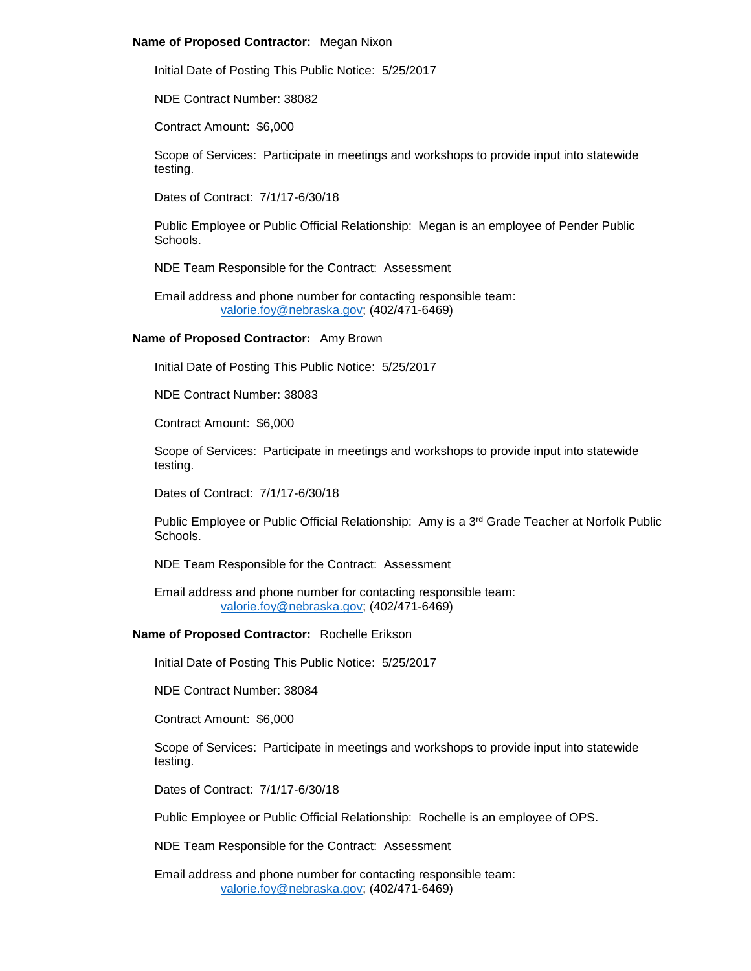#### **Name of Proposed Contractor:** Megan Nixon

Initial Date of Posting This Public Notice: 5/25/2017

NDE Contract Number: 38082

Contract Amount: \$6,000

Scope of Services: Participate in meetings and workshops to provide input into statewide testing.

Dates of Contract: 7/1/17-6/30/18

Public Employee or Public Official Relationship: Megan is an employee of Pender Public Schools.

NDE Team Responsible for the Contract: Assessment

Email address and phone number for contacting responsible team: [valorie.foy@nebraska.gov;](mailto:valorie.foy@nebraska.gov) (402/471-6469)

# **Name of Proposed Contractor:** Amy Brown

Initial Date of Posting This Public Notice: 5/25/2017

NDE Contract Number: 38083

Contract Amount: \$6,000

Scope of Services: Participate in meetings and workshops to provide input into statewide testing.

Dates of Contract: 7/1/17-6/30/18

Public Employee or Public Official Relationship: Amy is a 3<sup>rd</sup> Grade Teacher at Norfolk Public Schools.

NDE Team Responsible for the Contract: Assessment

Email address and phone number for contacting responsible team: [valorie.foy@nebraska.gov;](mailto:valorie.foy@nebraska.gov) (402/471-6469)

#### **Name of Proposed Contractor:** Rochelle Erikson

Initial Date of Posting This Public Notice: 5/25/2017

NDE Contract Number: 38084

Contract Amount: \$6,000

Scope of Services: Participate in meetings and workshops to provide input into statewide testing.

Dates of Contract: 7/1/17-6/30/18

Public Employee or Public Official Relationship: Rochelle is an employee of OPS.

NDE Team Responsible for the Contract: Assessment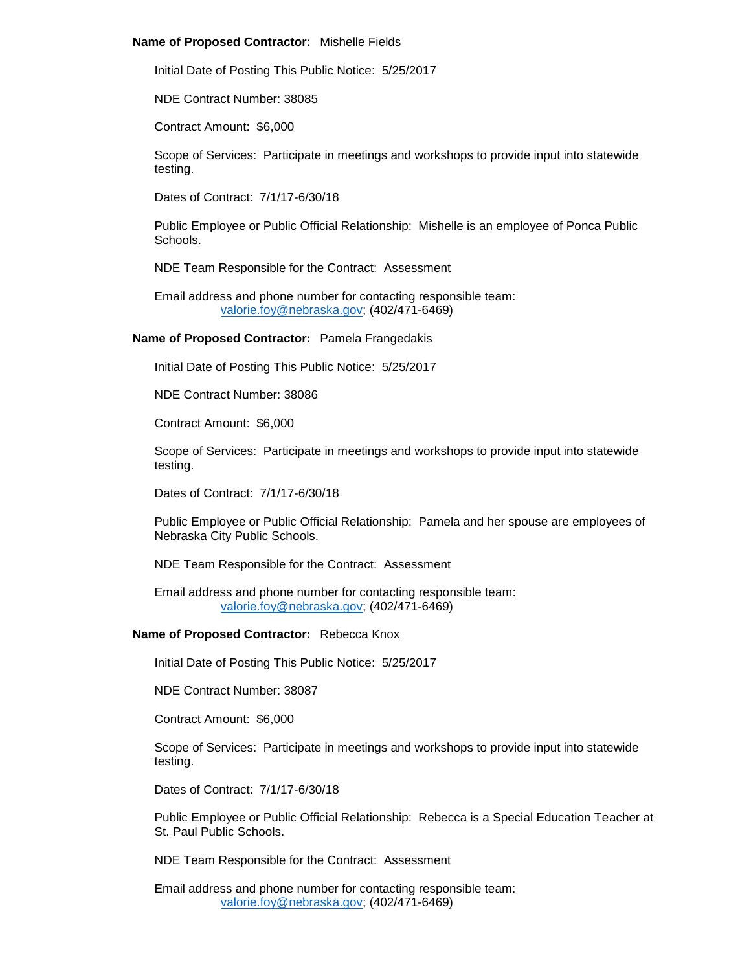#### **Name of Proposed Contractor:** Mishelle Fields

Initial Date of Posting This Public Notice: 5/25/2017

NDE Contract Number: 38085

Contract Amount: \$6,000

Scope of Services: Participate in meetings and workshops to provide input into statewide testing.

Dates of Contract: 7/1/17-6/30/18

Public Employee or Public Official Relationship: Mishelle is an employee of Ponca Public Schools.

NDE Team Responsible for the Contract: Assessment

Email address and phone number for contacting responsible team: [valorie.foy@nebraska.gov;](mailto:valorie.foy@nebraska.gov) (402/471-6469)

#### **Name of Proposed Contractor:** Pamela Frangedakis

Initial Date of Posting This Public Notice: 5/25/2017

NDE Contract Number: 38086

Contract Amount: \$6,000

Scope of Services: Participate in meetings and workshops to provide input into statewide testing.

Dates of Contract: 7/1/17-6/30/18

Public Employee or Public Official Relationship: Pamela and her spouse are employees of Nebraska City Public Schools.

NDE Team Responsible for the Contract: Assessment

Email address and phone number for contacting responsible team: [valorie.foy@nebraska.gov;](mailto:valorie.foy@nebraska.gov) (402/471-6469)

#### **Name of Proposed Contractor:** Rebecca Knox

Initial Date of Posting This Public Notice: 5/25/2017

NDE Contract Number: 38087

Contract Amount: \$6,000

Scope of Services: Participate in meetings and workshops to provide input into statewide testing.

Dates of Contract: 7/1/17-6/30/18

Public Employee or Public Official Relationship: Rebecca is a Special Education Teacher at St. Paul Public Schools.

NDE Team Responsible for the Contract: Assessment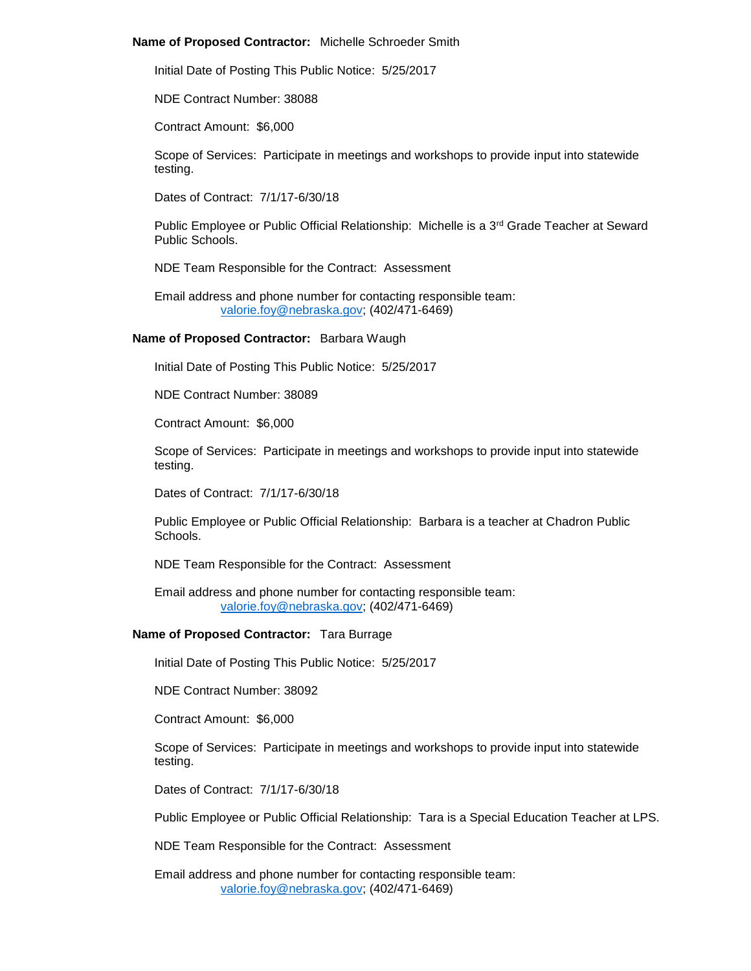#### **Name of Proposed Contractor:** Michelle Schroeder Smith

Initial Date of Posting This Public Notice: 5/25/2017

NDE Contract Number: 38088

Contract Amount: \$6,000

Scope of Services: Participate in meetings and workshops to provide input into statewide testing.

Dates of Contract: 7/1/17-6/30/18

Public Employee or Public Official Relationship: Michelle is a 3<sup>rd</sup> Grade Teacher at Seward Public Schools.

NDE Team Responsible for the Contract: Assessment

Email address and phone number for contacting responsible team: [valorie.foy@nebraska.gov;](mailto:valorie.foy@nebraska.gov) (402/471-6469)

#### **Name of Proposed Contractor:** Barbara Waugh

Initial Date of Posting This Public Notice: 5/25/2017

NDE Contract Number: 38089

Contract Amount: \$6,000

Scope of Services: Participate in meetings and workshops to provide input into statewide testing.

Dates of Contract: 7/1/17-6/30/18

Public Employee or Public Official Relationship: Barbara is a teacher at Chadron Public Schools.

NDE Team Responsible for the Contract: Assessment

Email address and phone number for contacting responsible team: [valorie.foy@nebraska.gov;](mailto:valorie.foy@nebraska.gov) (402/471-6469)

# **Name of Proposed Contractor:** Tara Burrage

Initial Date of Posting This Public Notice: 5/25/2017

NDE Contract Number: 38092

Contract Amount: \$6,000

Scope of Services: Participate in meetings and workshops to provide input into statewide testing.

Dates of Contract: 7/1/17-6/30/18

Public Employee or Public Official Relationship: Tara is a Special Education Teacher at LPS.

NDE Team Responsible for the Contract: Assessment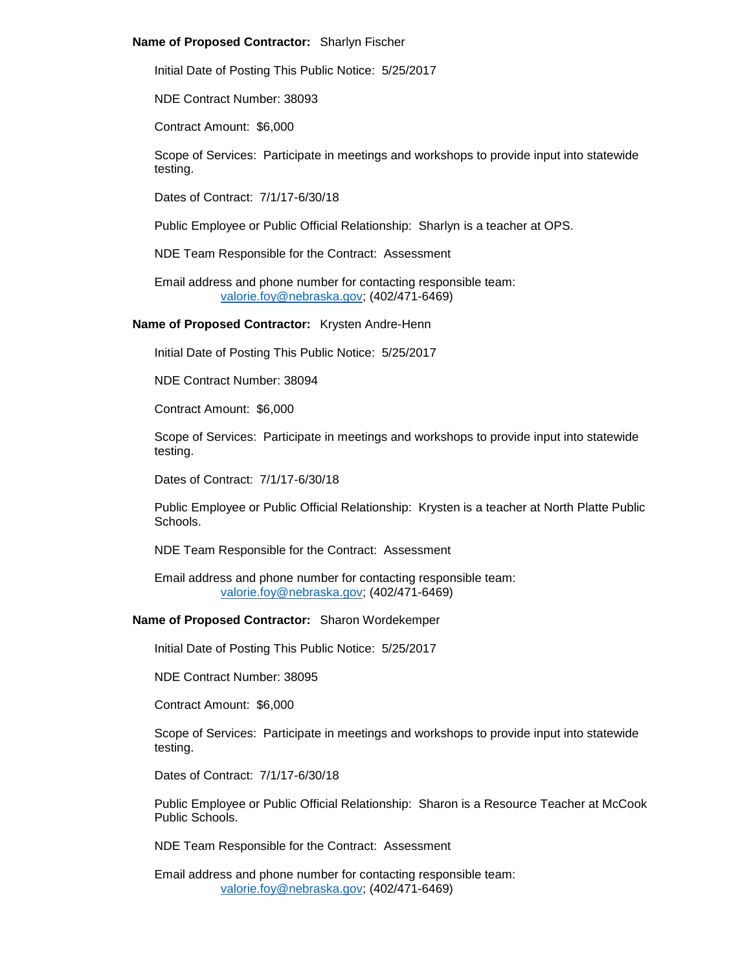## **Name of Proposed Contractor:** Sharlyn Fischer

Initial Date of Posting This Public Notice: 5/25/2017

NDE Contract Number: 38093

Contract Amount: \$6,000

Scope of Services: Participate in meetings and workshops to provide input into statewide testing.

Dates of Contract: 7/1/17-6/30/18

Public Employee or Public Official Relationship: Sharlyn is a teacher at OPS.

NDE Team Responsible for the Contract: Assessment

Email address and phone number for contacting responsible team: [valorie.foy@nebraska.gov;](mailto:valorie.foy@nebraska.gov) (402/471-6469)

**Name of Proposed Contractor:** Krysten Andre-Henn

Initial Date of Posting This Public Notice: 5/25/2017

NDE Contract Number: 38094

Contract Amount: \$6,000

Scope of Services: Participate in meetings and workshops to provide input into statewide testing.

Dates of Contract: 7/1/17-6/30/18

Public Employee or Public Official Relationship: Krysten is a teacher at North Platte Public Schools.

NDE Team Responsible for the Contract: Assessment

Email address and phone number for contacting responsible team: [valorie.foy@nebraska.gov;](mailto:valorie.foy@nebraska.gov) (402/471-6469)

**Name of Proposed Contractor:** Sharon Wordekemper

Initial Date of Posting This Public Notice: 5/25/2017

NDE Contract Number: 38095

Contract Amount: \$6,000

Scope of Services: Participate in meetings and workshops to provide input into statewide testing.

Dates of Contract: 7/1/17-6/30/18

Public Employee or Public Official Relationship: Sharon is a Resource Teacher at McCook Public Schools.

NDE Team Responsible for the Contract: Assessment